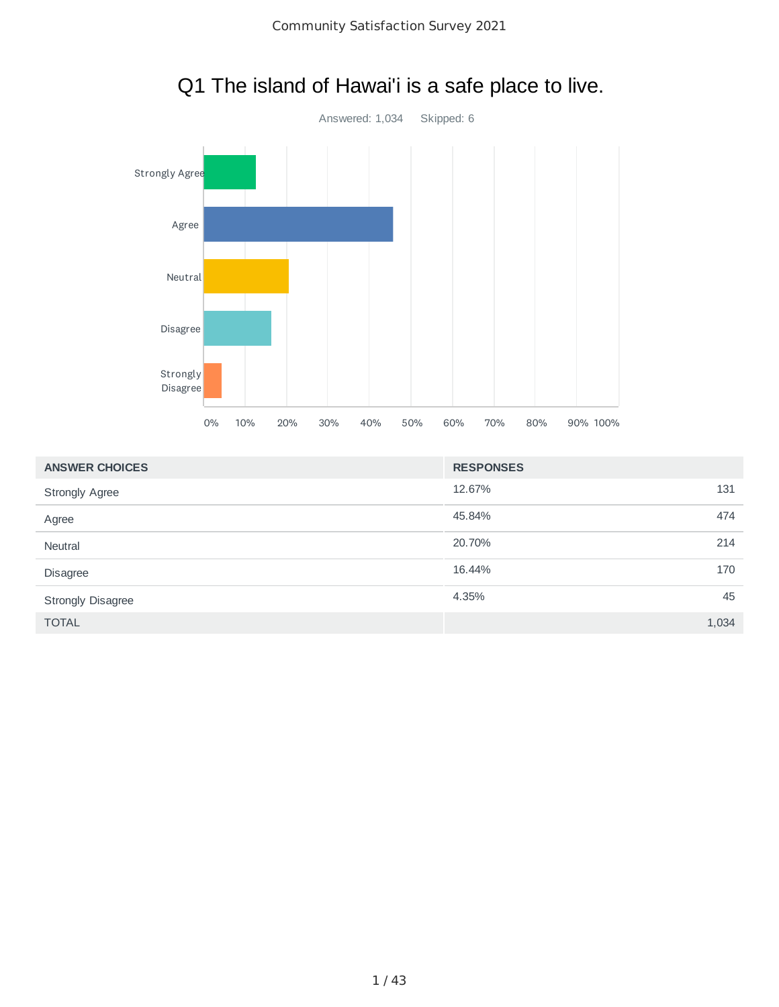

### Q1 The island of Hawai'i is a safe place to live.

| <b>ANSWER CHOICES</b>    | <b>RESPONSES</b> |     |
|--------------------------|------------------|-----|
| <b>Strongly Agree</b>    | 12.67%           | 131 |
| Agree                    | 45.84%           | 474 |
| Neutral                  | 20.70%           | 214 |
| Disagree                 | 16.44%           | 170 |
| <b>Strongly Disagree</b> | 4.35%            | 45  |
| <b>TOTAL</b>             | 1,034            |     |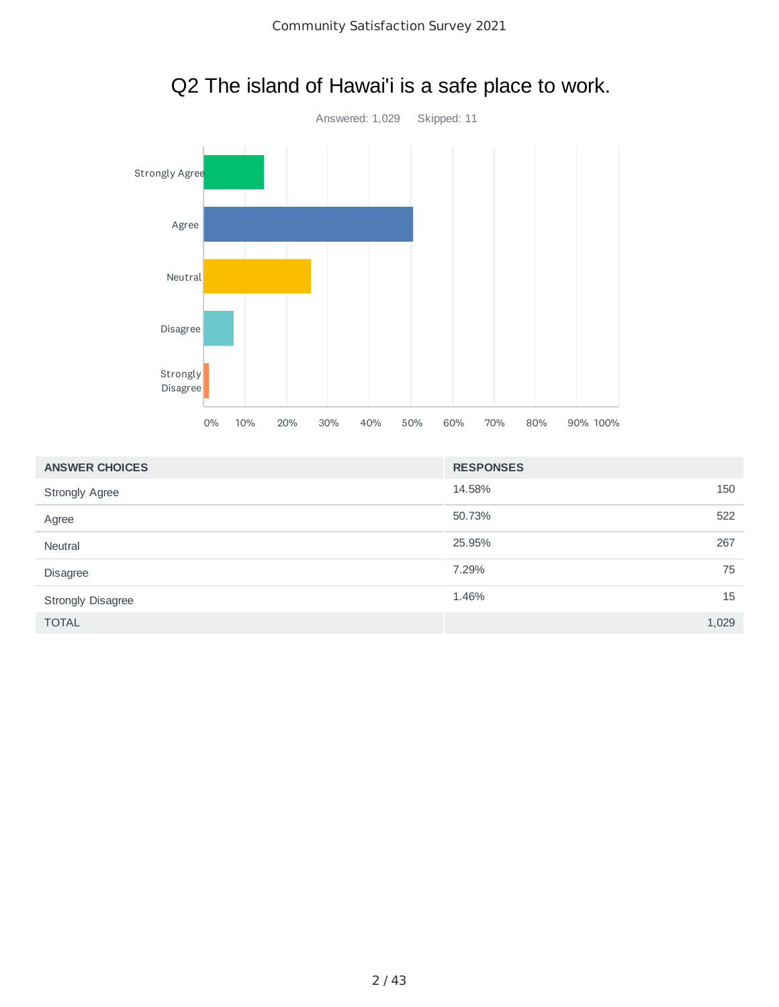

# Q2 The island of Hawai'i is a safe place to work.

| <b>ANSWER CHOICES</b>    | <b>RESPONSES</b> |       |
|--------------------------|------------------|-------|
| <b>Strongly Agree</b>    | 14.58%           | 150   |
| Agree                    | 50.73%           | 522   |
| <b>Neutral</b>           | 25.95%           | 267   |
| <b>Disagree</b>          | 7.29%            | 75    |
| <b>Strongly Disagree</b> | 1.46%            | 15    |
| <b>TOTAL</b>             |                  | 1,029 |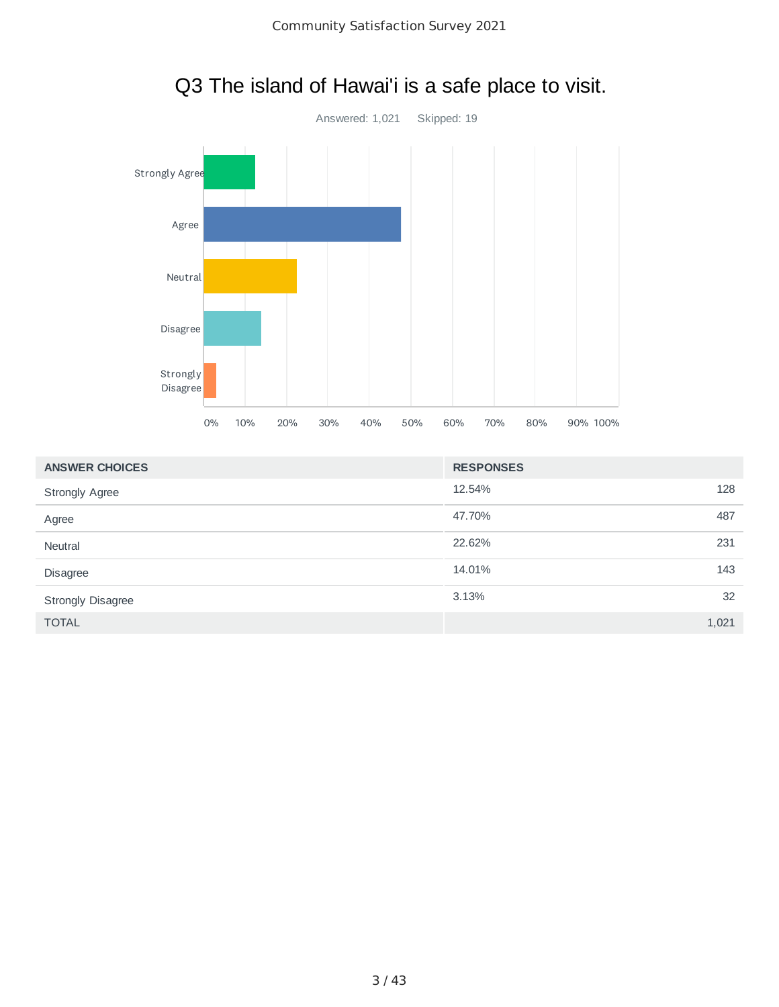

# Q3 The island of Hawai'i is a safe place to visit.

| <b>ANSWER CHOICES</b>    | <b>RESPONSES</b> |       |
|--------------------------|------------------|-------|
| <b>Strongly Agree</b>    | 12.54%           | 128   |
| Agree                    | 47.70%           | 487   |
| Neutral                  | 22.62%           | 231   |
| <b>Disagree</b>          | 14.01%           | 143   |
| <b>Strongly Disagree</b> | 3.13%            | 32    |
| <b>TOTAL</b>             |                  | 1,021 |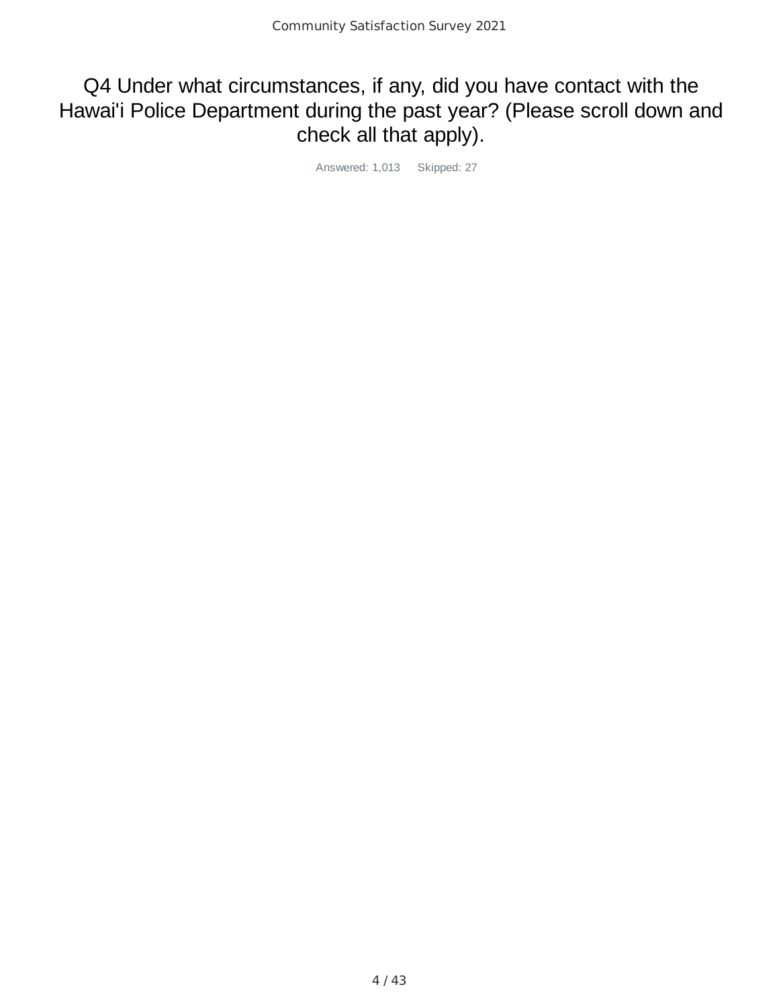#### Q4 Under what circumstances, if any, did you have contact with the Hawai'i Police Department during the past year? (Please scroll down and check all that apply).

Answered: 1,013 Skipped: 27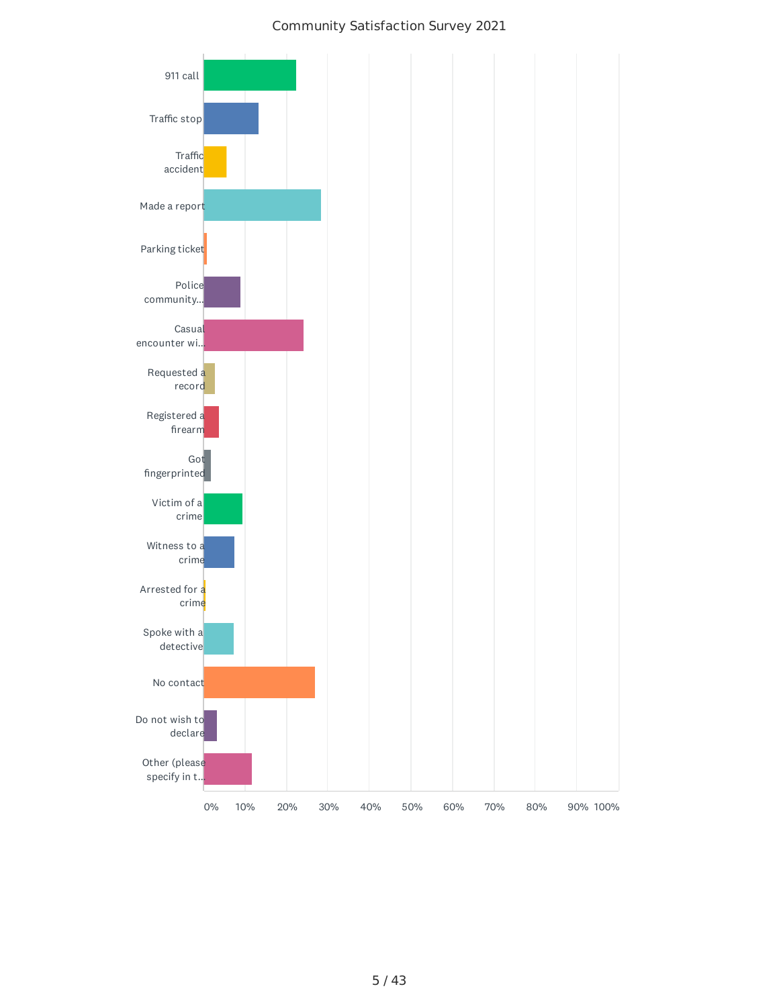#### Community Satisfaction Survey 2021

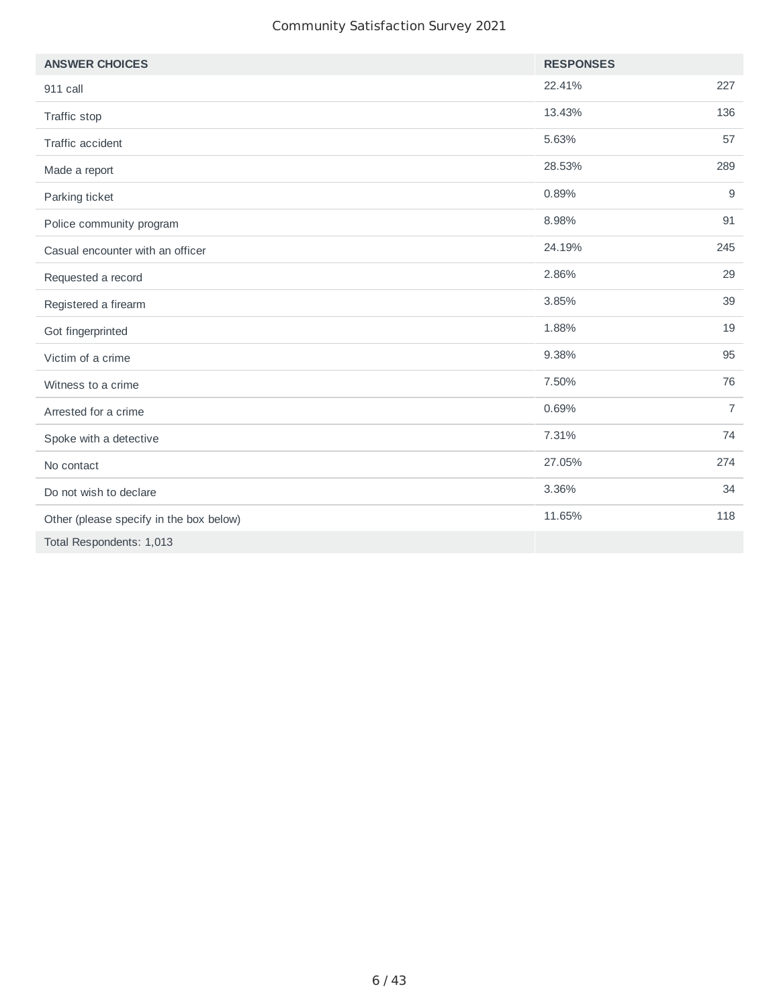#### Community Satisfaction Survey 2021

| <b>ANSWER CHOICES</b>                   | <b>RESPONSES</b> |                |
|-----------------------------------------|------------------|----------------|
| 911 call                                | 22.41%           | 227            |
| Traffic stop                            | 13.43%           | 136            |
| Traffic accident                        | 5.63%            | 57             |
| Made a report                           | 28.53%           | 289            |
| Parking ticket                          | 0.89%            | 9              |
| Police community program                | 8.98%            | 91             |
| Casual encounter with an officer        | 24.19%           | 245            |
| Requested a record                      | 2.86%            | 29             |
| Registered a firearm                    | 3.85%            | 39             |
| Got fingerprinted                       | 1.88%            | 19             |
| Victim of a crime                       | 9.38%            | 95             |
| Witness to a crime                      | 7.50%            | 76             |
| Arrested for a crime                    | 0.69%            | $\overline{7}$ |
| Spoke with a detective                  | 7.31%            | 74             |
| No contact                              | 27.05%           | 274            |
| Do not wish to declare                  | 3.36%            | 34             |
| Other (please specify in the box below) | 11.65%           | 118            |
| Total Respondents: 1,013                |                  |                |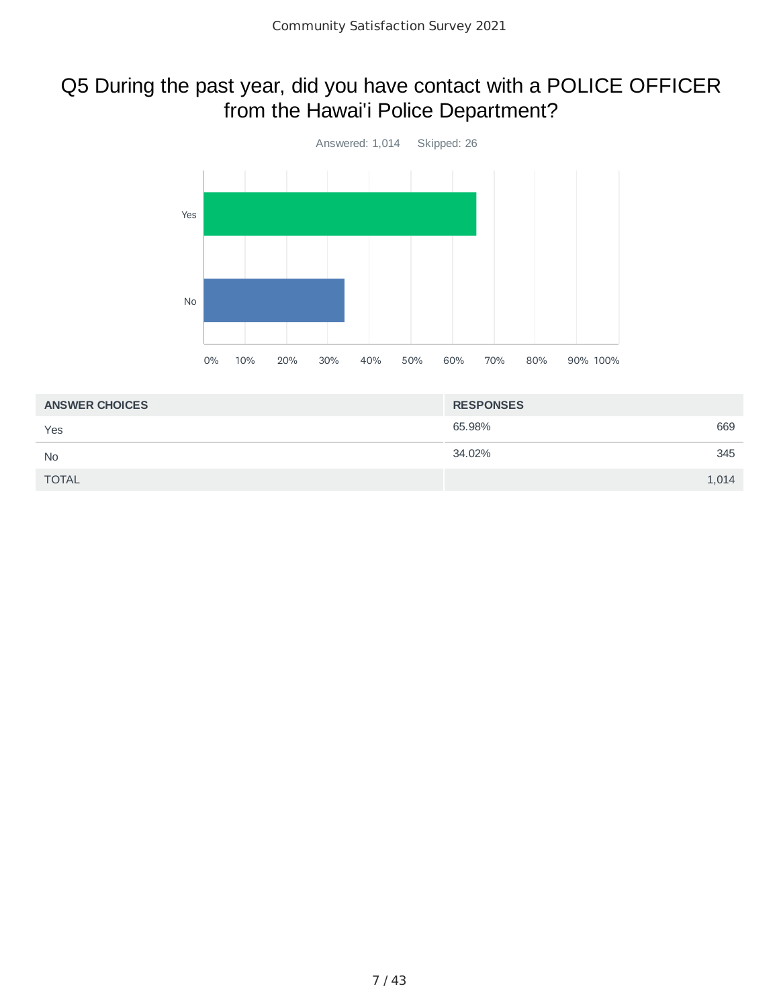### Q5 During the past year, did you have contact with a POLICE OFFICER from the Hawai'i Police Department?



| <b>ANSWER CHOICES</b> | <b>RESPONSES</b> |
|-----------------------|------------------|
| Yes                   | 65.98%<br>669    |
| <b>No</b>             | 34.02%<br>345    |
| <b>TOTAL</b>          | 1,014            |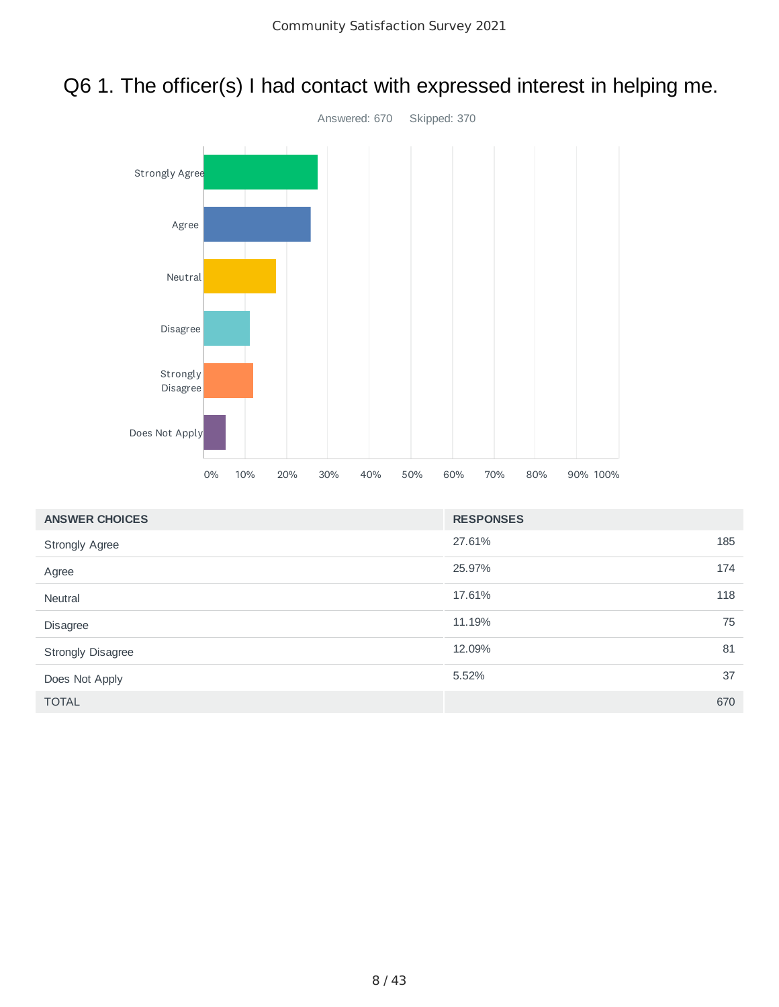## Q6 1. The officer(s) I had contact with expressed interest in helping me.



| <b>ANSWER CHOICES</b>    | <b>RESPONSES</b> |    |
|--------------------------|------------------|----|
| <b>Strongly Agree</b>    | 185<br>27.61%    |    |
| Agree                    | 25.97%<br>174    |    |
| Neutral                  | 118<br>17.61%    |    |
| Disagree                 | 11.19%           | 75 |
| <b>Strongly Disagree</b> | 12.09%           | 81 |
| Does Not Apply           | 5.52%            | 37 |
| <b>TOTAL</b>             | 670              |    |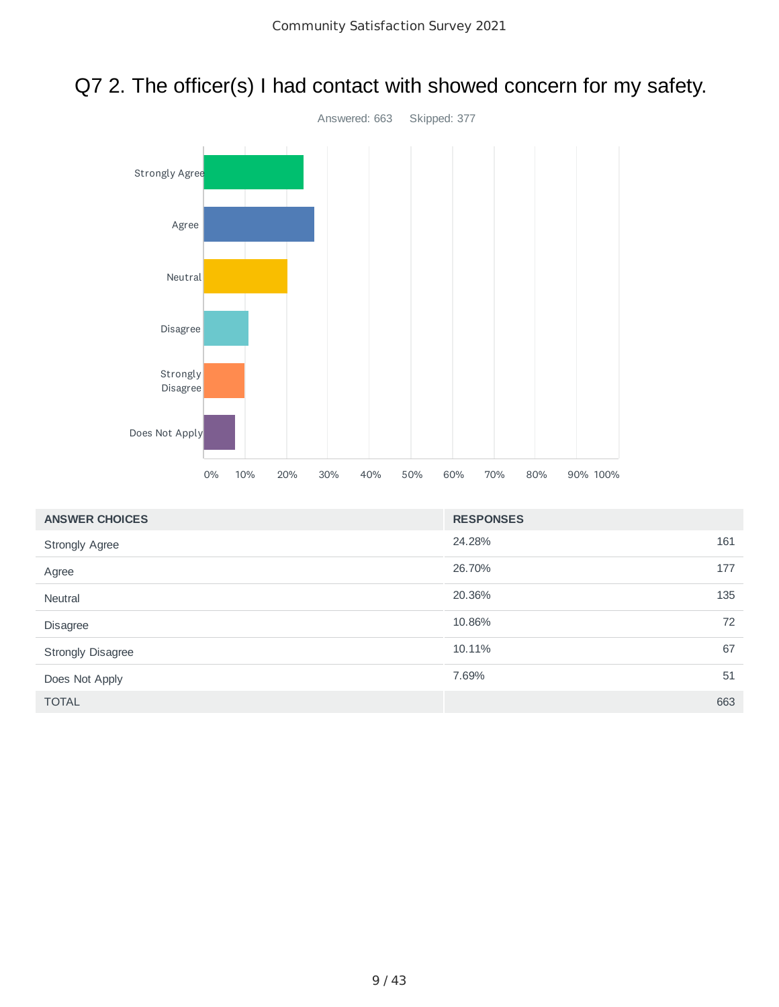

Does Not Apply

### Q7 2. The officer(s) I had contact with showed concern for my safety.

| <b>ANSWER CHOICES</b>    | <b>RESPONSES</b> |     |
|--------------------------|------------------|-----|
| <b>Strongly Agree</b>    | 24.28%           | 161 |
| Agree                    | 26.70%           | 177 |
| <b>Neutral</b>           | 20.36%           | 135 |
| Disagree                 | 10.86%           | 72  |
| <b>Strongly Disagree</b> | 10.11%           | 67  |
| Does Not Apply           | 7.69%            | 51  |
| <b>TOTAL</b>             |                  | 663 |

0% 10% 20% 30% 40% 50% 60% 70% 80% 90% 100%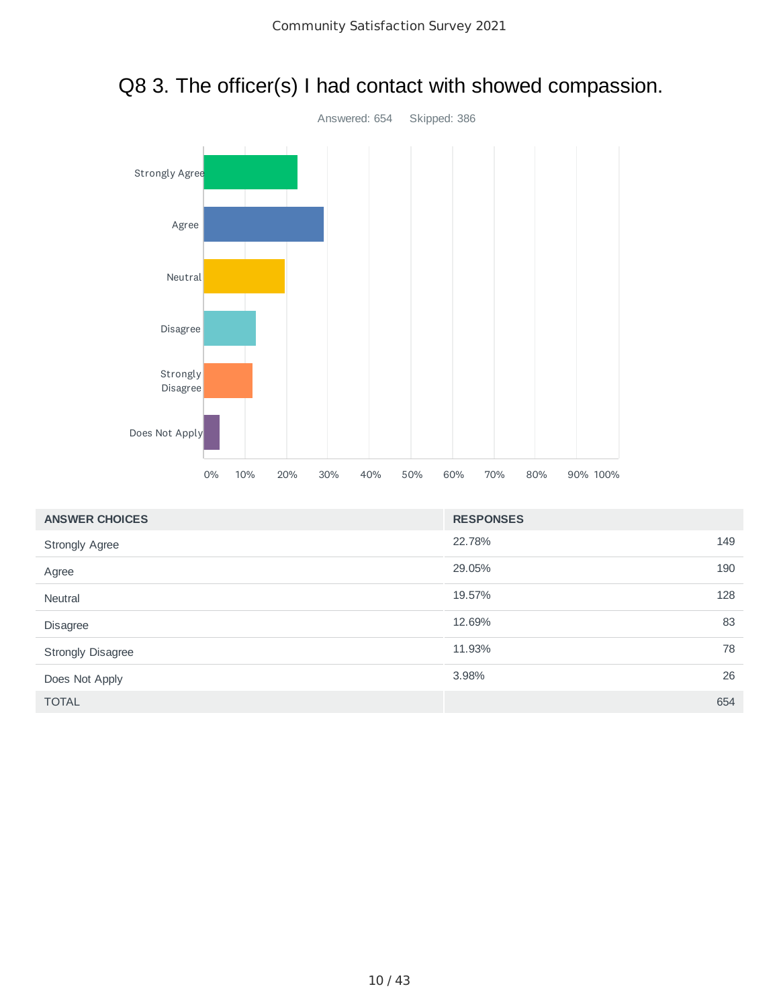

# Q8 3. The officer(s) I had contact with showed compassion.

| <b>ANSWER CHOICES</b>    | <b>RESPONSES</b> |     |
|--------------------------|------------------|-----|
| <b>Strongly Agree</b>    | 22.78%           | 149 |
| Agree                    | 29.05%           | 190 |
| Neutral                  | 19.57%           | 128 |
| Disagree                 | 12.69%           | 83  |
| <b>Strongly Disagree</b> | 11.93%           | 78  |
| Does Not Apply           | 3.98%            | 26  |
| <b>TOTAL</b>             |                  | 654 |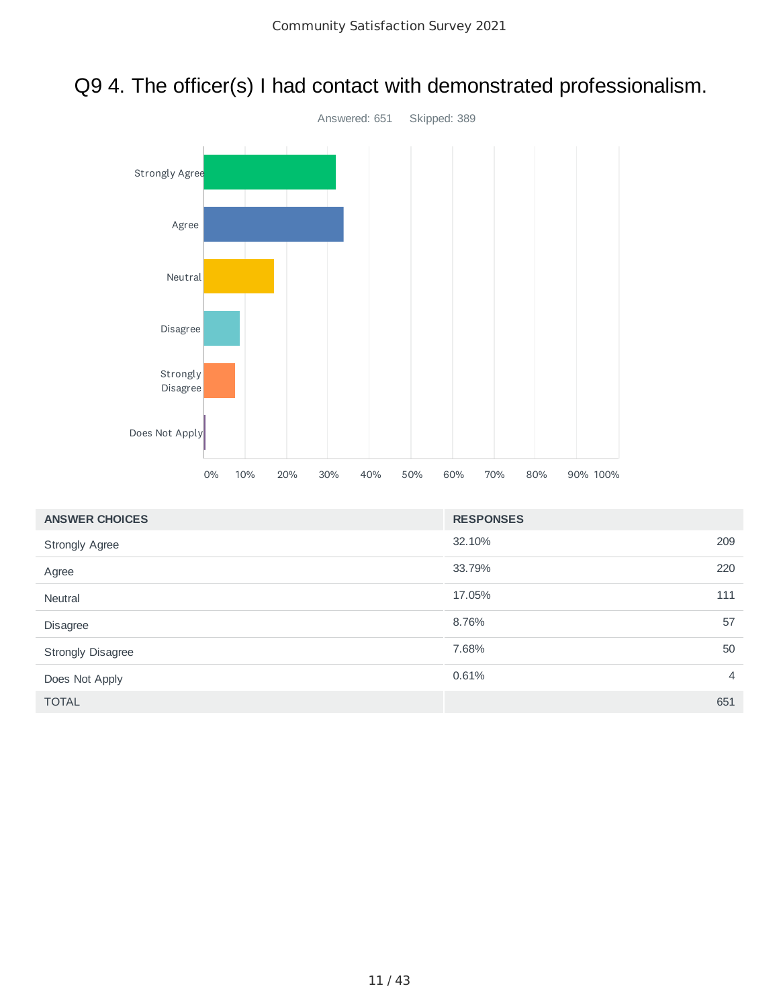



| <b>ANSWER CHOICES</b>    | <b>RESPONSES</b> |                |
|--------------------------|------------------|----------------|
| <b>Strongly Agree</b>    | 32.10%           | 209            |
| Agree                    | 33.79%           | 220            |
| <b>Neutral</b>           | 17.05%           | 111            |
| Disagree                 | 8.76%            | 57             |
| <b>Strongly Disagree</b> | 7.68%            | 50             |
| Does Not Apply           | 0.61%            | $\overline{4}$ |
| <b>TOTAL</b>             |                  | 651            |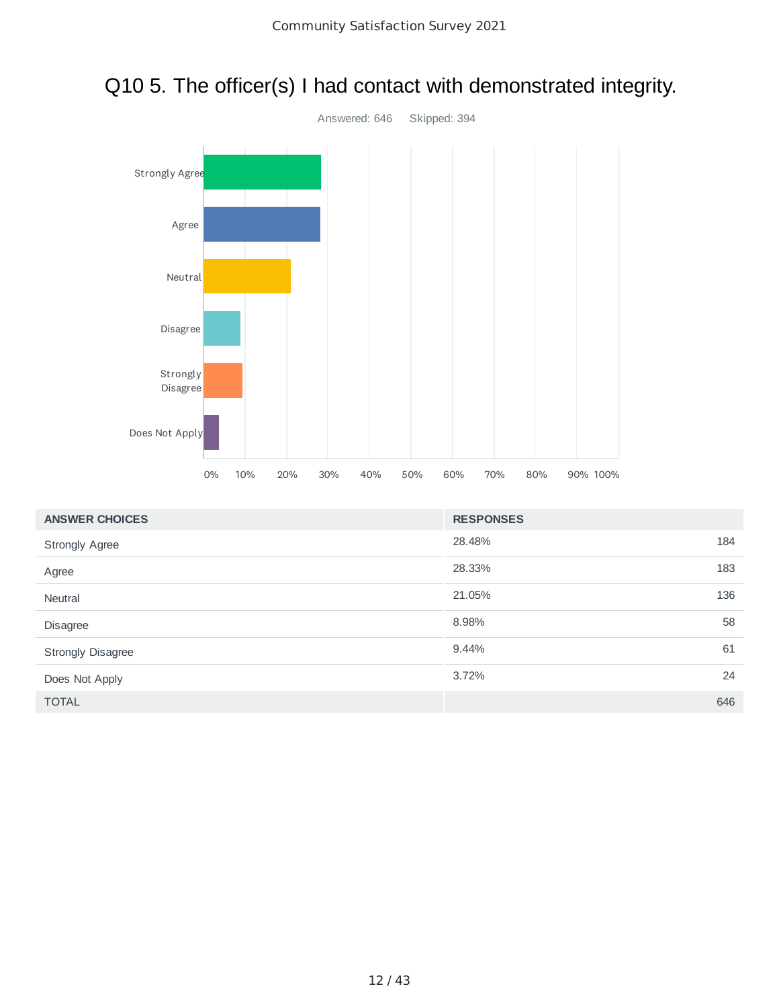

#### Q10 5. The officer(s) I had contact with demonstrated integrity.

| <b>ANSWER CHOICES</b>    | <b>RESPONSES</b> |     |
|--------------------------|------------------|-----|
| <b>Strongly Agree</b>    | 28.48%           | 184 |
| Agree                    | 28.33%           | 183 |
| Neutral                  | 21.05%           | 136 |
| Disagree                 | 8.98%            | 58  |
| <b>Strongly Disagree</b> | 9.44%            | 61  |
| Does Not Apply           | 3.72%            | 24  |
| <b>TOTAL</b>             |                  | 646 |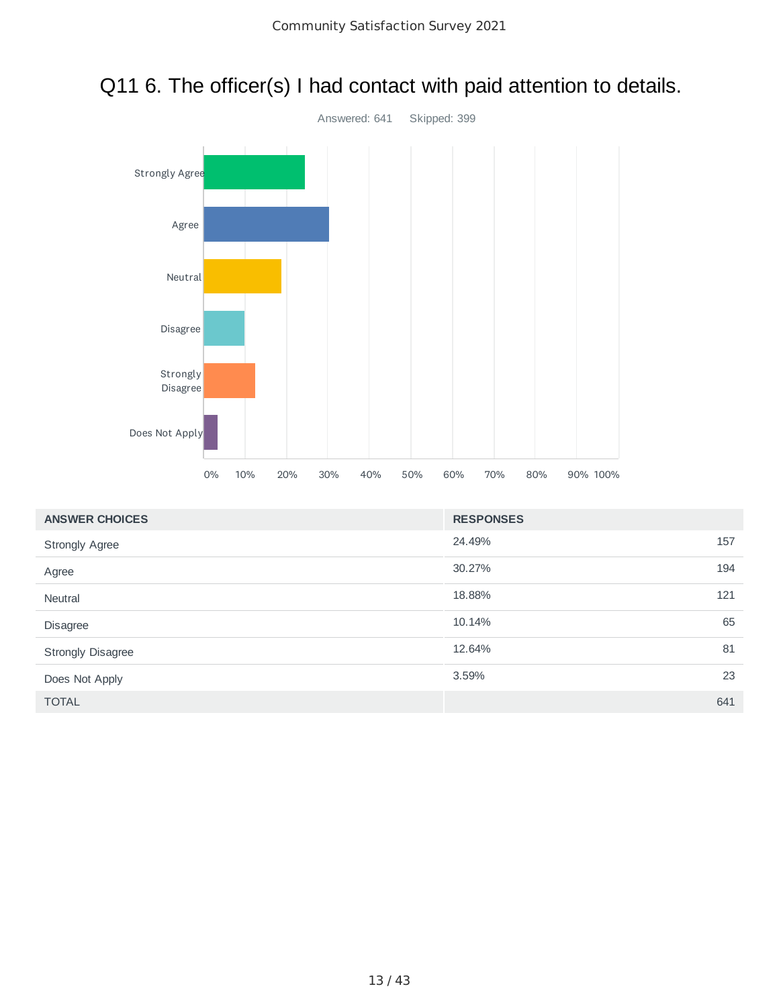

### Q11 6. The officer(s) I had contact with paid attention to details.

| <b>ANSWER CHOICES</b>    | <b>RESPONSES</b> |     |
|--------------------------|------------------|-----|
| <b>Strongly Agree</b>    | 24.49%           | 157 |
| Agree                    | 30.27%           | 194 |
| Neutral                  | 18.88%           | 121 |
| Disagree                 | 10.14%           | 65  |
| <b>Strongly Disagree</b> | 12.64%           | 81  |
| Does Not Apply           | 3.59%            | 23  |
| <b>TOTAL</b>             |                  | 641 |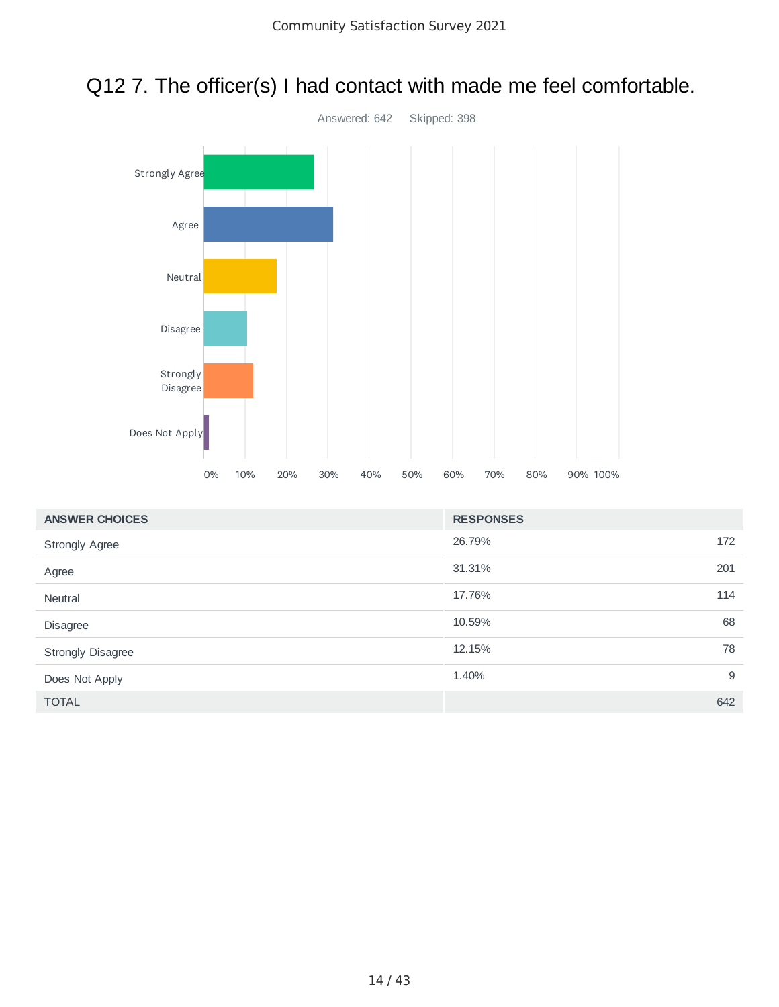



| <b>ANSWER CHOICES</b>    | <b>RESPONSES</b> |     |
|--------------------------|------------------|-----|
| <b>Strongly Agree</b>    | 26.79%           | 172 |
| Agree                    | 31.31%           | 201 |
| <b>Neutral</b>           | 17.76%           | 114 |
| Disagree                 | 10.59%           | 68  |
| <b>Strongly Disagree</b> | 12.15%           | 78  |
| Does Not Apply           | 1.40%            | 9   |
| <b>TOTAL</b>             |                  | 642 |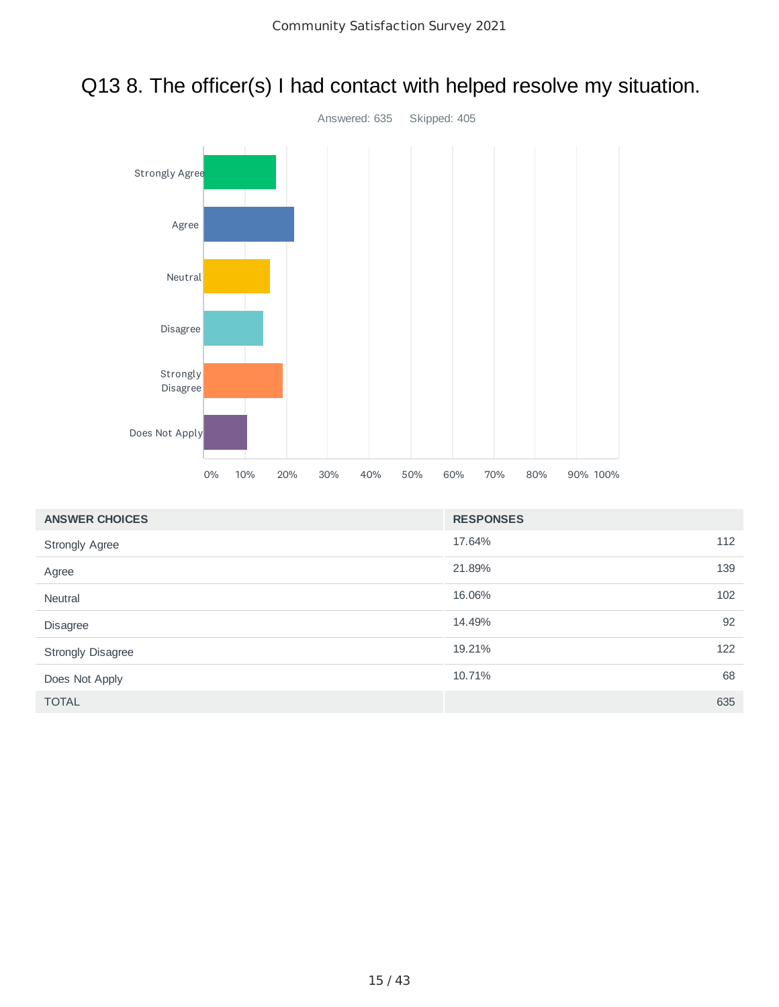

#### Q13 8. The officer(s) I had contact with helped resolve my situation.

| <b>ANSWER CHOICES</b>    | <b>RESPONSES</b> |     |
|--------------------------|------------------|-----|
| <b>Strongly Agree</b>    | 17.64%           | 112 |
| Agree                    | 21.89%           | 139 |
| <b>Neutral</b>           | 16.06%           | 102 |
| Disagree                 | 14.49%           | 92  |
| <b>Strongly Disagree</b> | 19.21%           | 122 |
| Does Not Apply           | 10.71%           | 68  |
| <b>TOTAL</b>             |                  | 635 |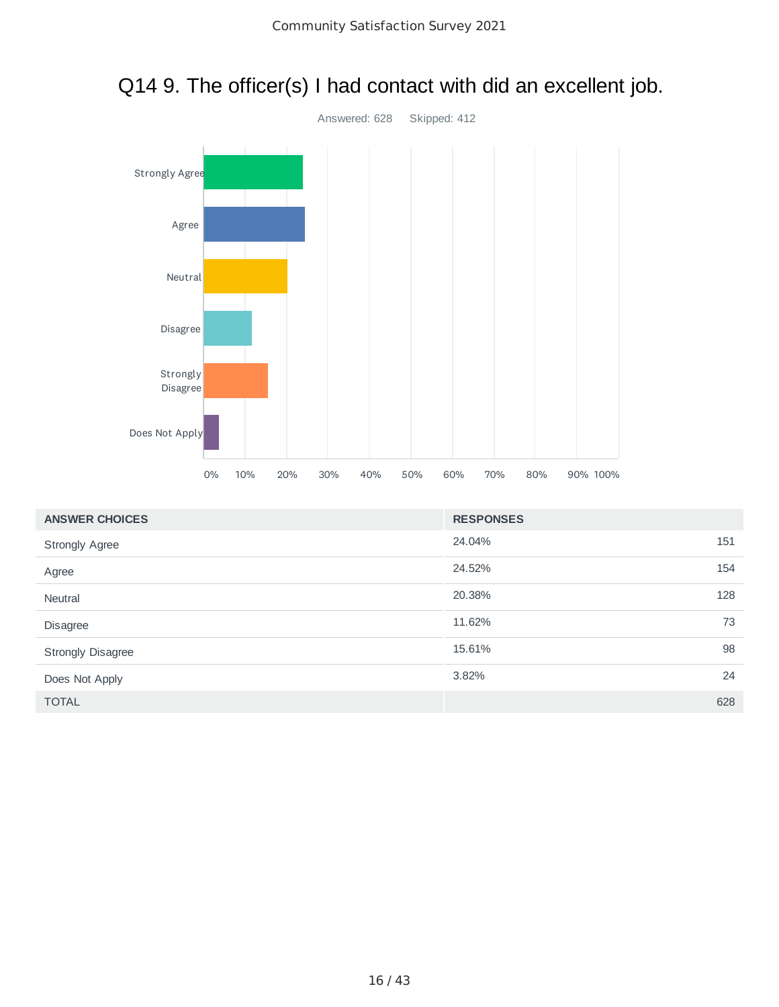

# Q14 9. The officer(s) I had contact with did an excellent job.

| <b>ANSWER CHOICES</b>    | <b>RESPONSES</b> |     |
|--------------------------|------------------|-----|
| <b>Strongly Agree</b>    | 24.04%<br>151    |     |
| Agree                    | 24.52%           | 154 |
| Neutral                  | 20.38%<br>128    |     |
| Disagree                 | 11.62%           | 73  |
| <b>Strongly Disagree</b> | 15.61%           | 98  |
| Does Not Apply           | 3.82%            | 24  |
| <b>TOTAL</b>             | 628              |     |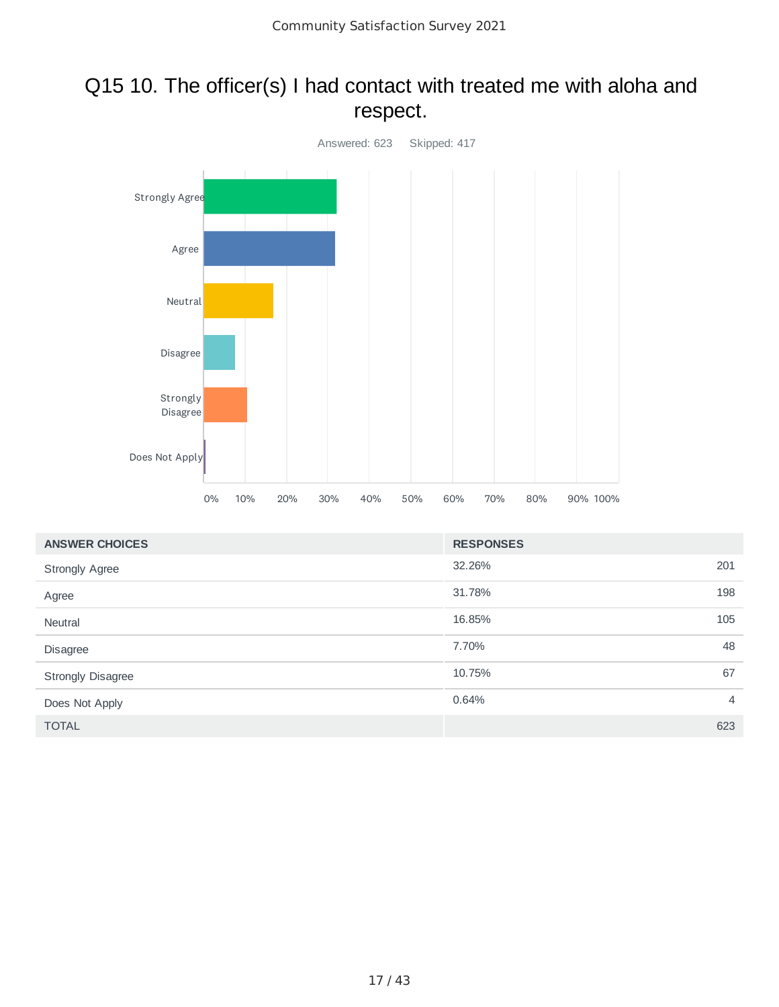#### Q15 10. The officer(s) I had contact with treated me with aloha and respect.



| <b>ANSWER CHOICES</b> | <b>RESPONSES</b> |                |
|-----------------------|------------------|----------------|
| <b>Strongly Agree</b> | 32.26%           | 201            |
| Agree                 | 31.78%           | 198            |
| <b>Neutral</b>        | 16.85%           | 105            |
| Disagree              | 7.70%            | 48             |
| Strongly Disagree     | 10.75%           | 67             |
| Does Not Apply        | 0.64%            | $\overline{4}$ |
| <b>TOTAL</b>          |                  | 623            |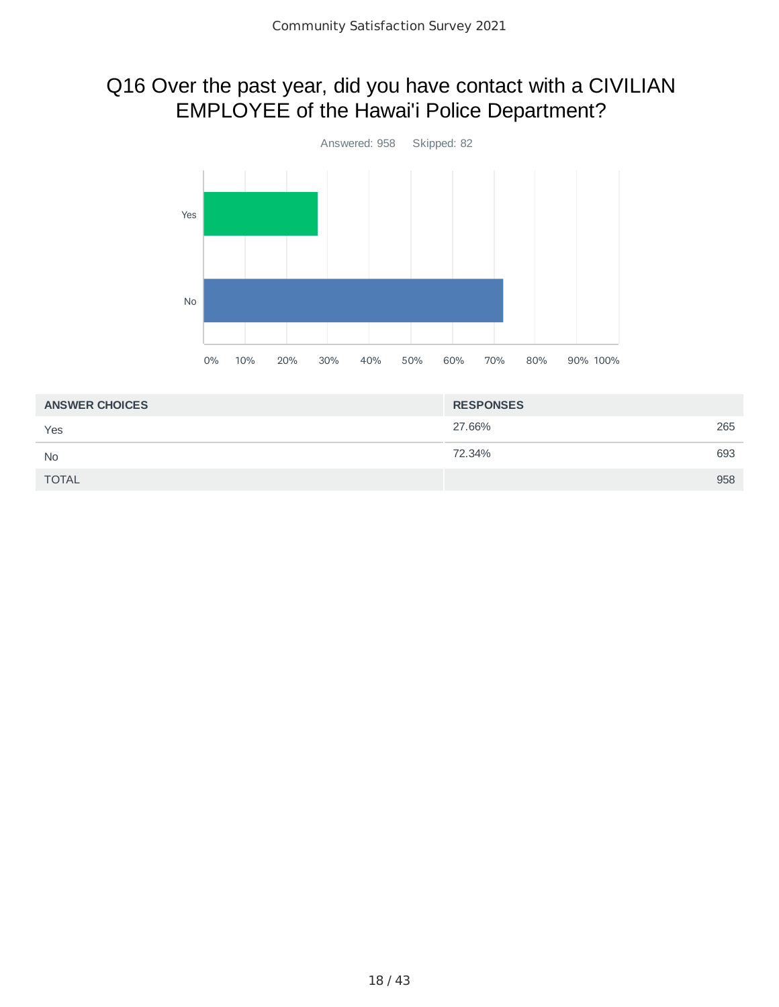### Q16 Over the past year, did you have contact with a CIVILIAN EMPLOYEE of the Hawai'i Police Department?



| <b>ANSWER CHOICES</b> | <b>RESPONSES</b> |     |
|-----------------------|------------------|-----|
| Yes                   | 27.66%           | 265 |
| <b>No</b>             | 72.34%           | 693 |
| <b>TOTAL</b>          |                  | 958 |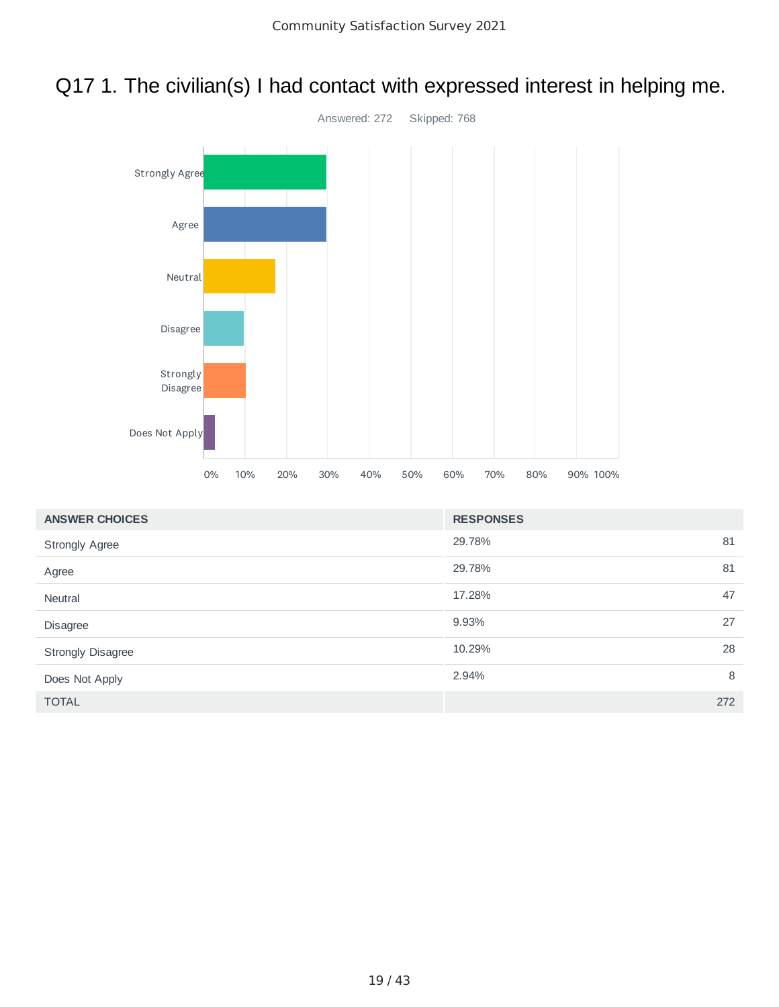## Q17 1. The civilian(s) I had contact with expressed interest in helping me.



| <b>ANSWER CHOICES</b> | <b>RESPONSES</b> |   |
|-----------------------|------------------|---|
| <b>Strongly Agree</b> | 81<br>29.78%     |   |
| Agree                 | 81<br>29.78%     |   |
| Neutral               | 17.28%<br>47     |   |
| Disagree              | 27<br>9.93%      |   |
| Strongly Disagree     | 28<br>10.29%     |   |
| Does Not Apply        | 2.94%            | 8 |
| <b>TOTAL</b>          | 272              |   |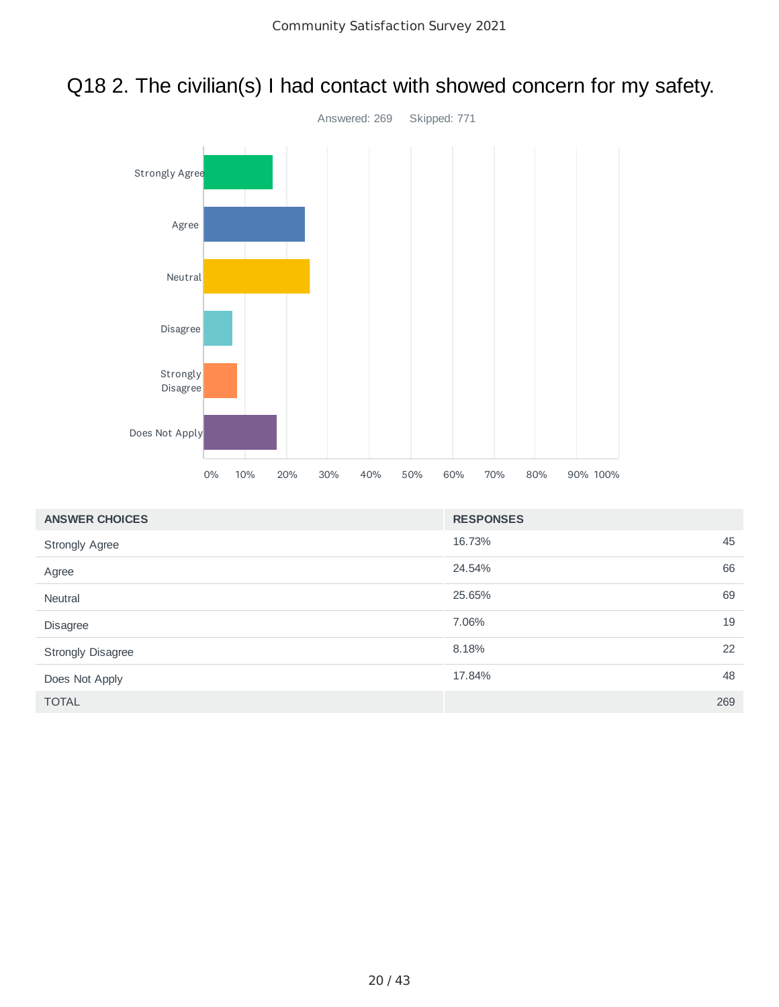#### Q18 2. The civilian(s) I had contact with showed concern for my safety.



| <b>ANSWER CHOICES</b>    | <b>RESPONSES</b> |     |
|--------------------------|------------------|-----|
| <b>Strongly Agree</b>    | 16.73%           | 45  |
| Agree                    | 24.54%           | 66  |
| <b>Neutral</b>           | 25.65%           | 69  |
| Disagree                 | 7.06%            | 19  |
| <b>Strongly Disagree</b> | 8.18%            | 22  |
| Does Not Apply           | 17.84%           | 48  |
| <b>TOTAL</b>             |                  | 269 |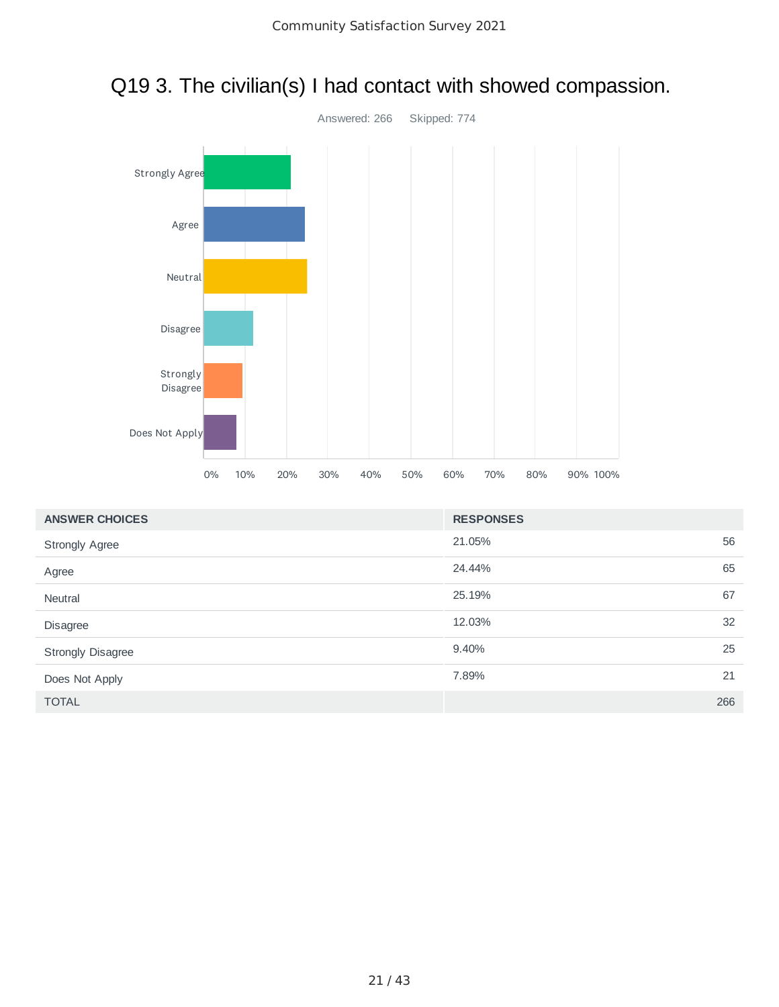

#### Q19 3. The civilian(s) I had contact with showed compassion.

| <b>ANSWER CHOICES</b> | <b>RESPONSES</b> |     |
|-----------------------|------------------|-----|
| <b>Strongly Agree</b> | 21.05%           | 56  |
| Agree                 | 24.44%           | 65  |
| Neutral               | 25.19%           | 67  |
| Disagree              | 12.03%           | 32  |
| Strongly Disagree     | 9.40%            | 25  |
| Does Not Apply        | 7.89%            | 21  |
| <b>TOTAL</b>          |                  | 266 |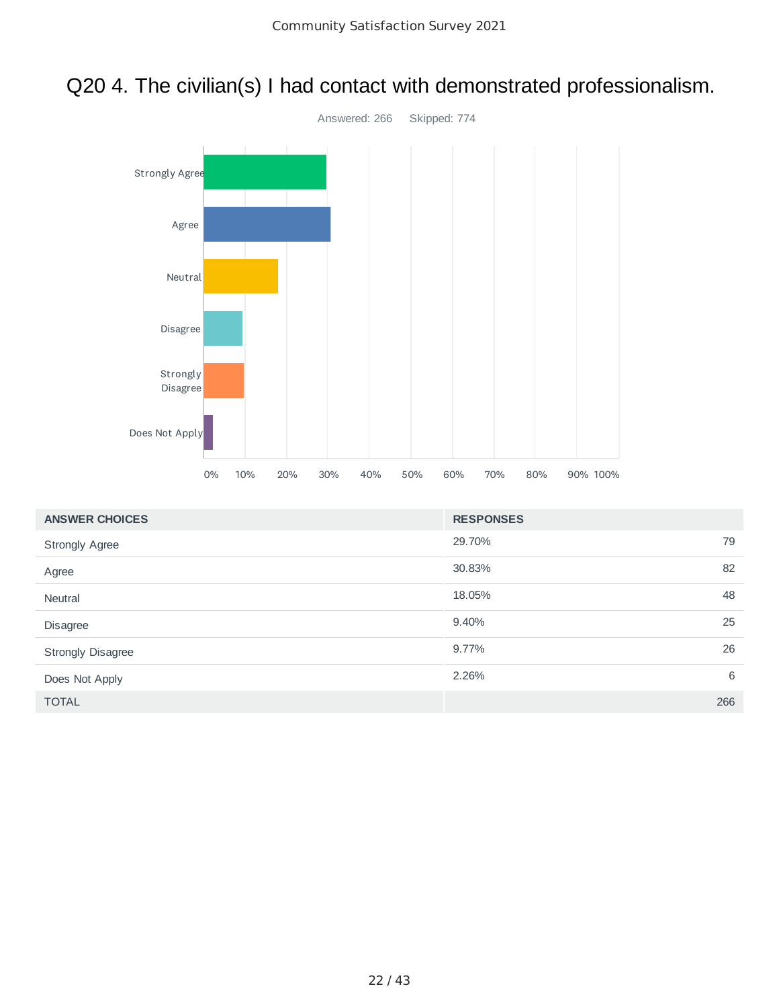### Q20 4. The civilian(s) I had contact with demonstrated professionalism.



| <b>ANSWER CHOICES</b> | <b>RESPONSES</b> |     |
|-----------------------|------------------|-----|
| <b>Strongly Agree</b> | 29.70%           | 79  |
| Agree                 | 30.83%           | 82  |
| Neutral               | 18.05%           | 48  |
| Disagree              | 9.40%            | 25  |
| Strongly Disagree     | 9.77%            | 26  |
| Does Not Apply        | 2.26%            | 6   |
| <b>TOTAL</b>          |                  | 266 |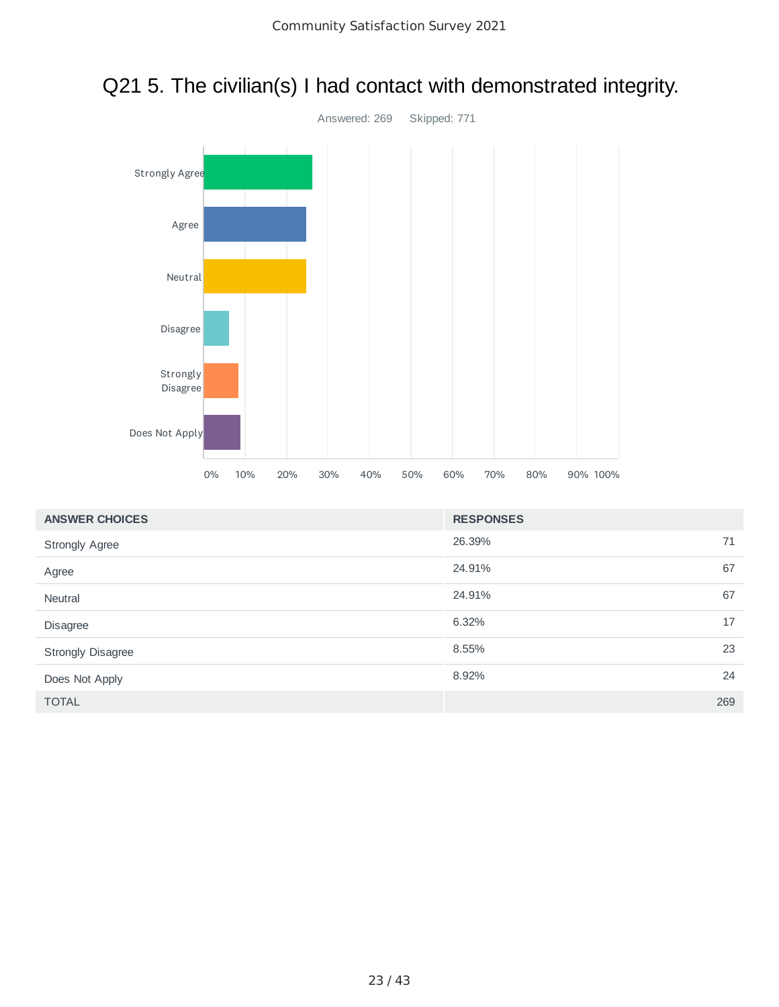

# Q21 5. The civilian(s) I had contact with demonstrated integrity.

| <b>ANSWER CHOICES</b>    | <b>RESPONSES</b> |  |
|--------------------------|------------------|--|
| <b>Strongly Agree</b>    | 26.39%<br>71     |  |
| Agree                    | 67<br>24.91%     |  |
| Neutral                  | 24.91%<br>67     |  |
| Disagree                 | 17<br>6.32%      |  |
| <b>Strongly Disagree</b> | 23<br>8.55%      |  |
| Does Not Apply           | 24<br>8.92%      |  |
| <b>TOTAL</b>             | 269              |  |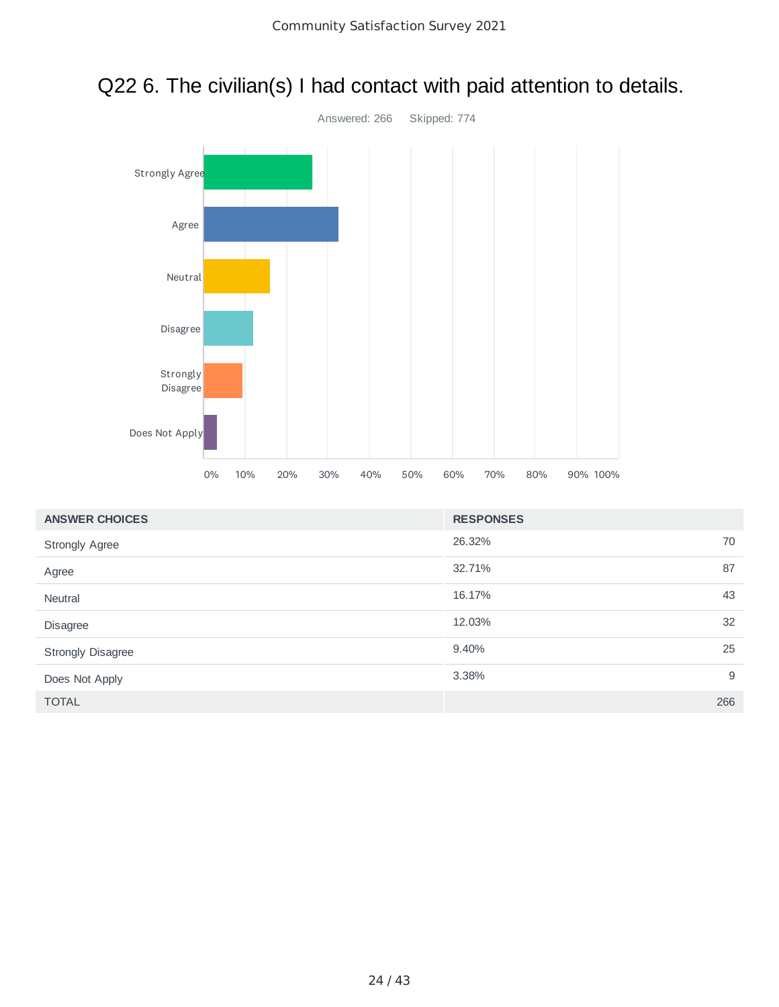

#### Q22 6. The civilian(s) I had contact with paid attention to details.

| <b>ANSWER CHOICES</b>    | <b>RESPONSES</b> |    |
|--------------------------|------------------|----|
| <b>Strongly Agree</b>    | 26.32%           | 70 |
| Agree                    | 87<br>32.71%     |    |
| <b>Neutral</b>           | 16.17%           | 43 |
| <b>Disagree</b>          | 12.03%           | 32 |
| <b>Strongly Disagree</b> | 9.40%            | 25 |
| Does Not Apply           | 3.38%            | 9  |
| <b>TOTAL</b>             | 266              |    |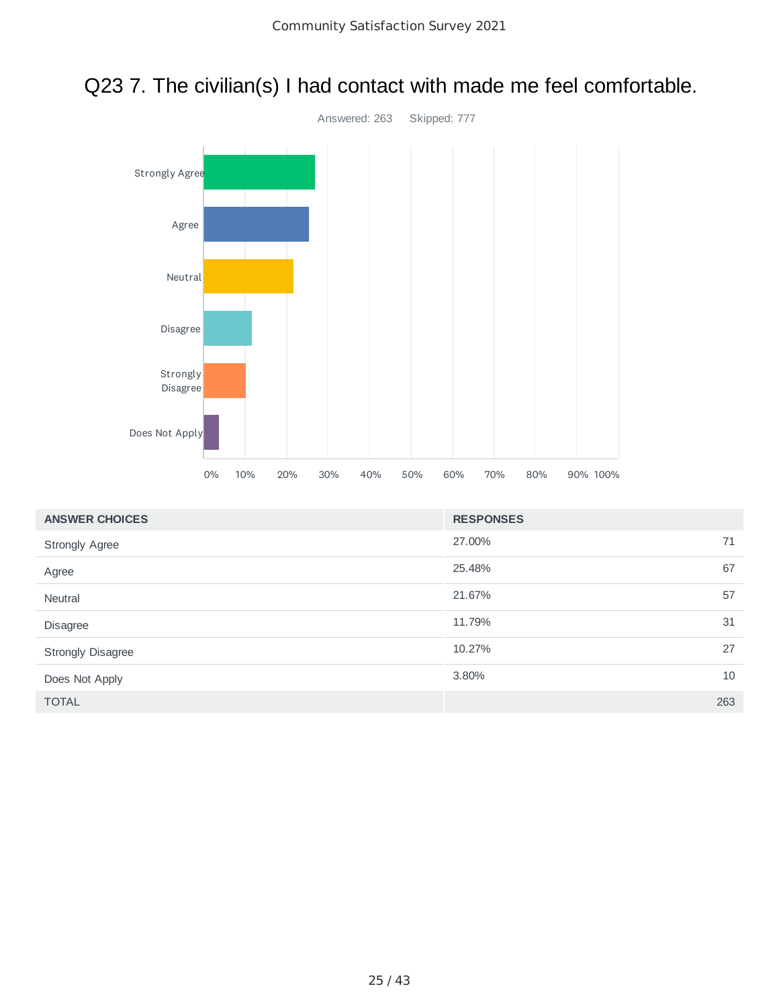



| <b>ANSWER CHOICES</b> | <b>RESPONSES</b> |     |
|-----------------------|------------------|-----|
| <b>Strongly Agree</b> | 27.00%           | 71  |
| Agree                 | 25.48%           | 67  |
| <b>Neutral</b>        | 21.67%           | 57  |
| Disagree              | 11.79%           | 31  |
| Strongly Disagree     | 10.27%           | 27  |
| Does Not Apply        | 3.80%            | 10  |
| <b>TOTAL</b>          |                  | 263 |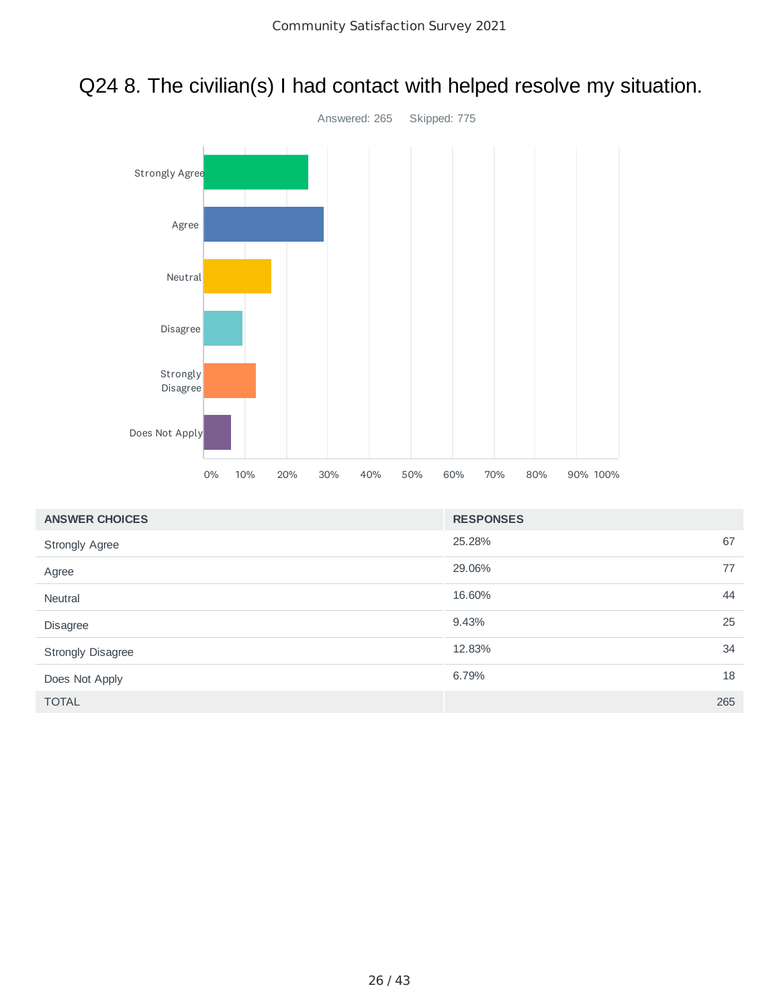



| <b>ANSWER CHOICES</b>    | <b>RESPONSES</b> |     |
|--------------------------|------------------|-----|
| <b>Strongly Agree</b>    | 25.28%           | 67  |
| Agree                    | 29.06%           | 77  |
| Neutral                  | 16.60%           | 44  |
| Disagree                 | 9.43%            | 25  |
| <b>Strongly Disagree</b> | 12.83%           | 34  |
| Does Not Apply           | 6.79%            | 18  |
| <b>TOTAL</b>             |                  | 265 |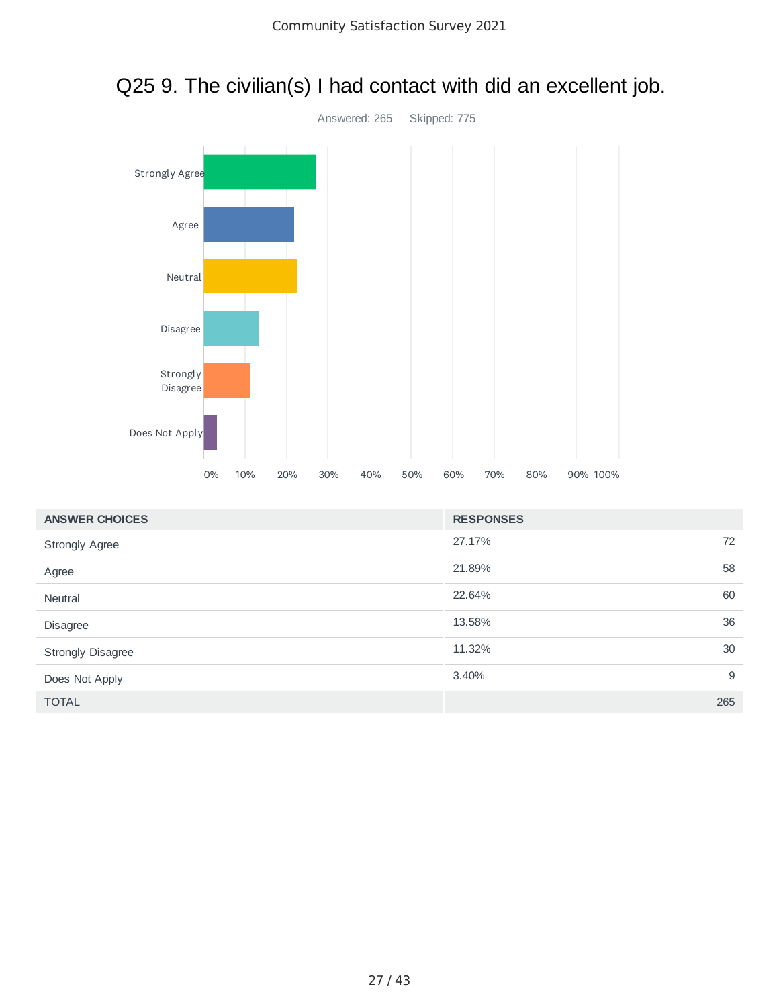

# Q25 9. The civilian(s) I had contact with did an excellent job.

| <b>ANSWER CHOICES</b> | <b>RESPONSES</b> |    |
|-----------------------|------------------|----|
| <b>Strongly Agree</b> | 27.17%           | 72 |
| Agree                 | 58<br>21.89%     |    |
| Neutral               | 22.64%<br>60     |    |
| Disagree              | 36<br>13.58%     |    |
| Strongly Disagree     | 30<br>11.32%     |    |
| Does Not Apply        | 3.40%            | 9  |
| <b>TOTAL</b>          | 265              |    |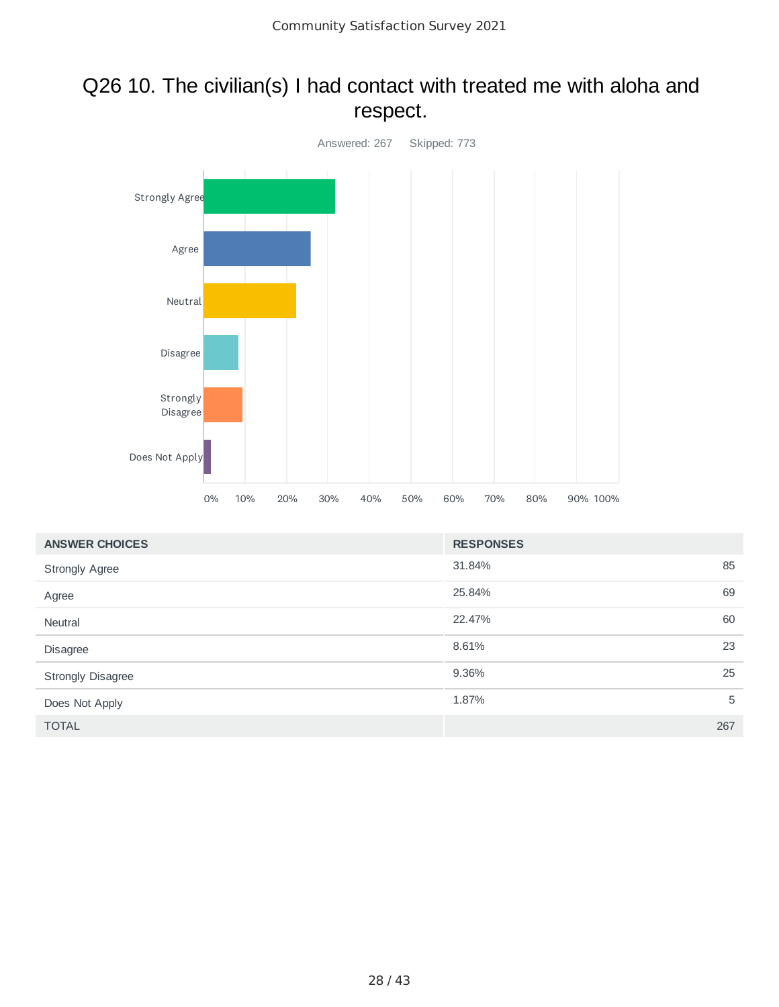#### Q26 10. The civilian(s) I had contact with treated me with aloha and respect.



| <b>ANSWER CHOICES</b> | <b>RESPONSES</b> |     |
|-----------------------|------------------|-----|
| <b>Strongly Agree</b> | 31.84%           | 85  |
| Agree                 | 25.84%           | 69  |
| <b>Neutral</b>        | 22.47%           | 60  |
| Disagree              | 8.61%            | 23  |
| Strongly Disagree     | 9.36%            | 25  |
| Does Not Apply        | 1.87%            | 5   |
| <b>TOTAL</b>          |                  | 267 |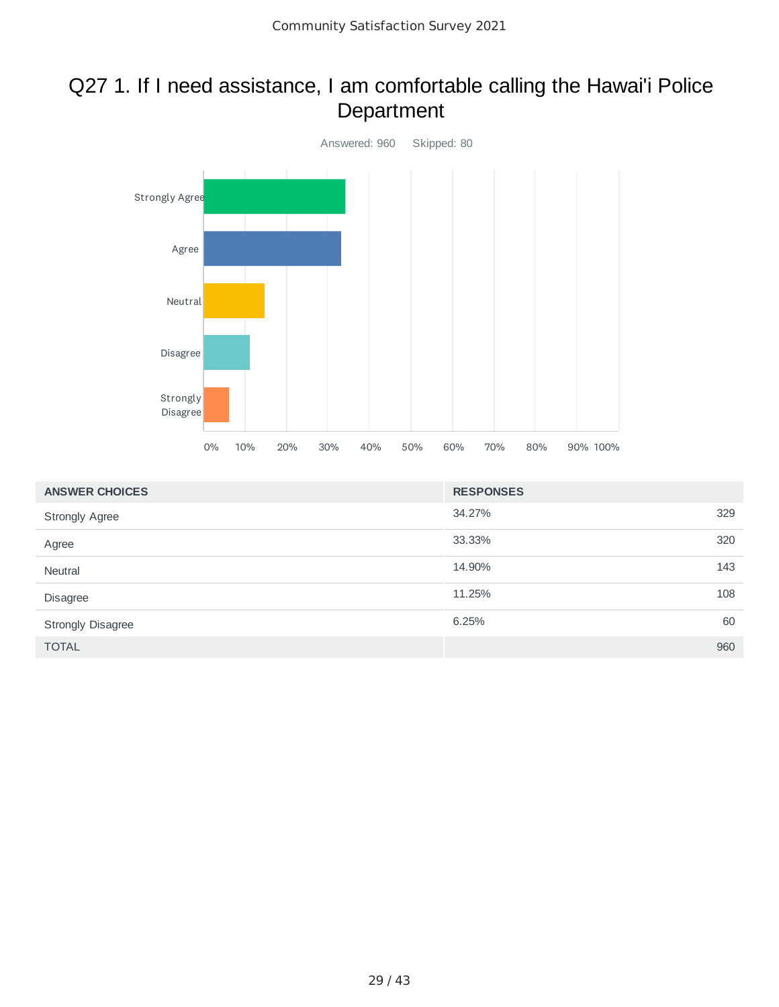#### Q27 1. If I need assistance, I am comfortable calling the Hawai'i Police Department



| <b>ANSWER CHOICES</b> | <b>RESPONSES</b> |     |
|-----------------------|------------------|-----|
| <b>Strongly Agree</b> | 34.27%           | 329 |
| Agree                 | 33.33%           | 320 |
| Neutral               | 14.90%           | 143 |
| <b>Disagree</b>       | 11.25%           | 108 |
| Strongly Disagree     | 6.25%            | 60  |
| <b>TOTAL</b>          |                  | 960 |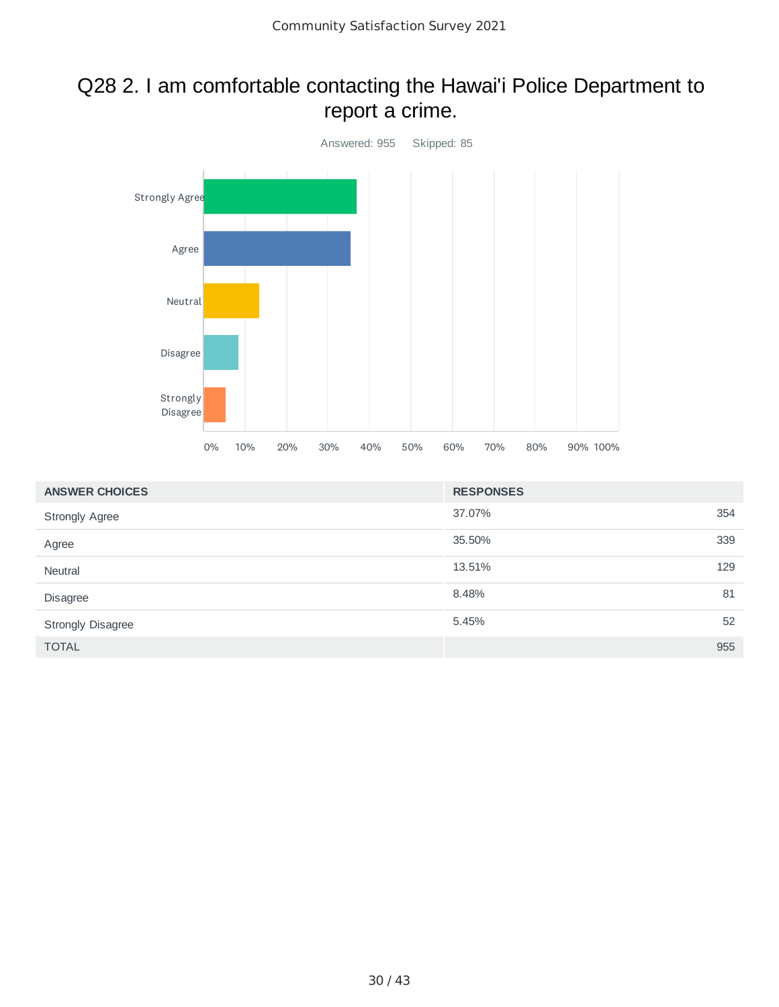#### Q28 2. I am comfortable contacting the Hawai'i Police Department to report a crime.



| <b>ANSWER CHOICES</b> | <b>RESPONSES</b> |     |
|-----------------------|------------------|-----|
| <b>Strongly Agree</b> | 37.07%           | 354 |
| Agree                 | 35.50%           | 339 |
| Neutral               | 13.51%           | 129 |
| <b>Disagree</b>       | 8.48%            | 81  |
| Strongly Disagree     | 5.45%            | 52  |
| <b>TOTAL</b>          |                  | 955 |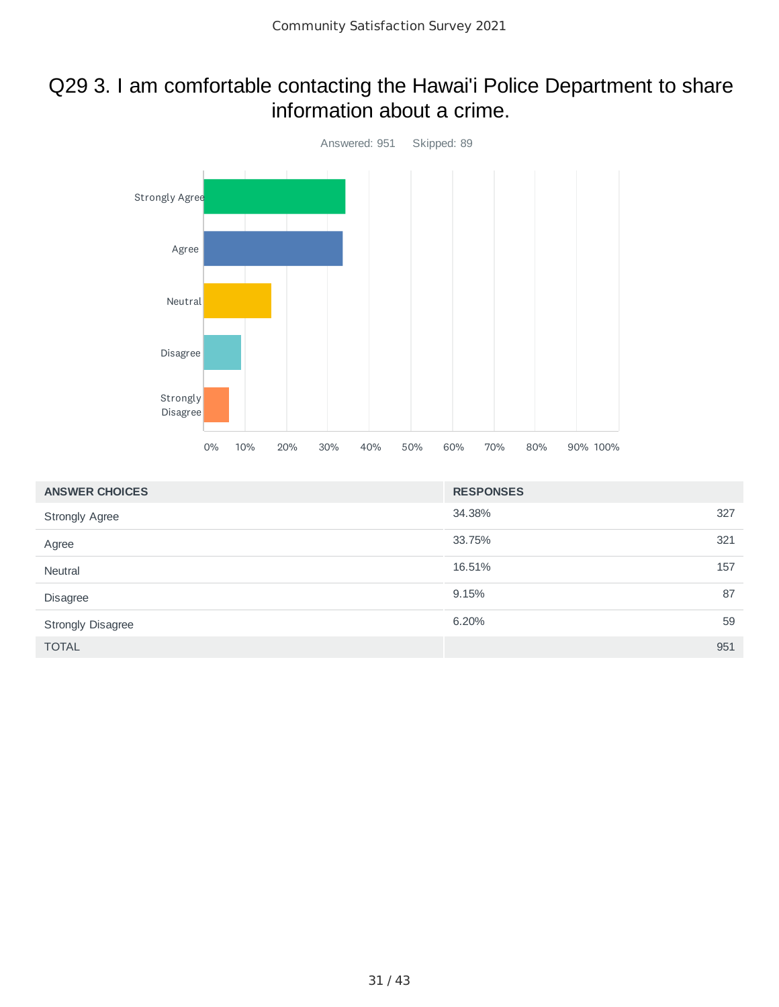#### Q29 3. I am comfortable contacting the Hawai'i Police Department to share information about a crime.



| <b>ANSWER CHOICES</b>    | <b>RESPONSES</b> |     |
|--------------------------|------------------|-----|
| <b>Strongly Agree</b>    | 34.38%           | 327 |
| Agree                    | 33.75%           | 321 |
| Neutral                  | 16.51%           | 157 |
| Disagree                 | 9.15%            | 87  |
| <b>Strongly Disagree</b> | 6.20%            | 59  |
| <b>TOTAL</b>             |                  | 951 |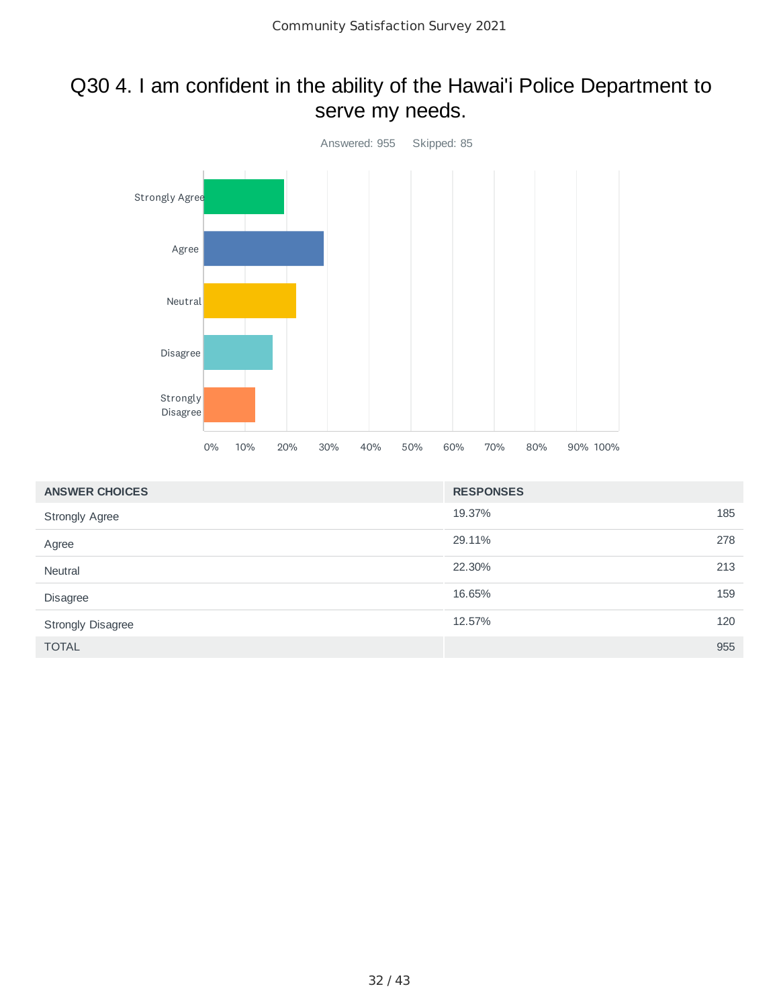#### Q30 4. I am confident in the ability of the Hawai'i Police Department to serve my needs.



| <b>ANSWER CHOICES</b> | <b>RESPONSES</b> |     |
|-----------------------|------------------|-----|
| <b>Strongly Agree</b> | 19.37%           | 185 |
| Agree                 | 29.11%           | 278 |
| Neutral               | 22.30%           | 213 |
| Disagree              | 16.65%           | 159 |
| Strongly Disagree     | 12.57%           | 120 |
| <b>TOTAL</b>          |                  | 955 |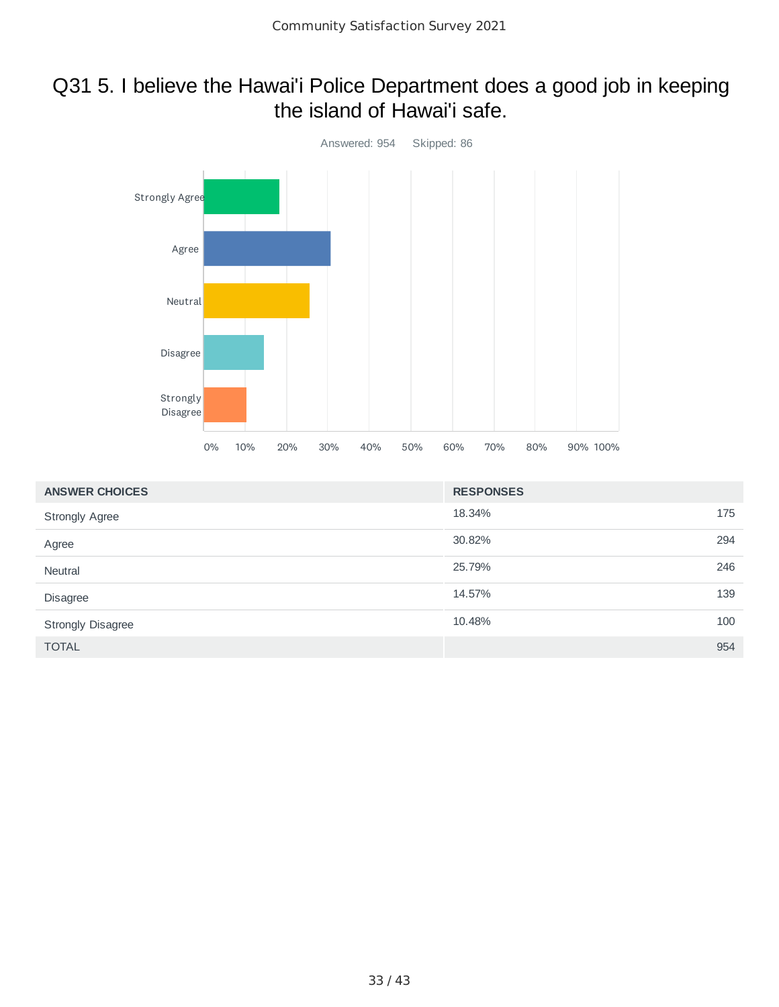#### Q31 5. I believe the Hawai'i Police Department does a good job in keeping the island of Hawai'i safe.



| <b>ANSWER CHOICES</b>    | <b>RESPONSES</b> |     |
|--------------------------|------------------|-----|
| <b>Strongly Agree</b>    | 18.34%           | 175 |
| Agree                    | 30.82%           | 294 |
| Neutral                  | 25.79%           | 246 |
| <b>Disagree</b>          | 14.57%           | 139 |
| <b>Strongly Disagree</b> | 10.48%           | 100 |
| <b>TOTAL</b>             |                  | 954 |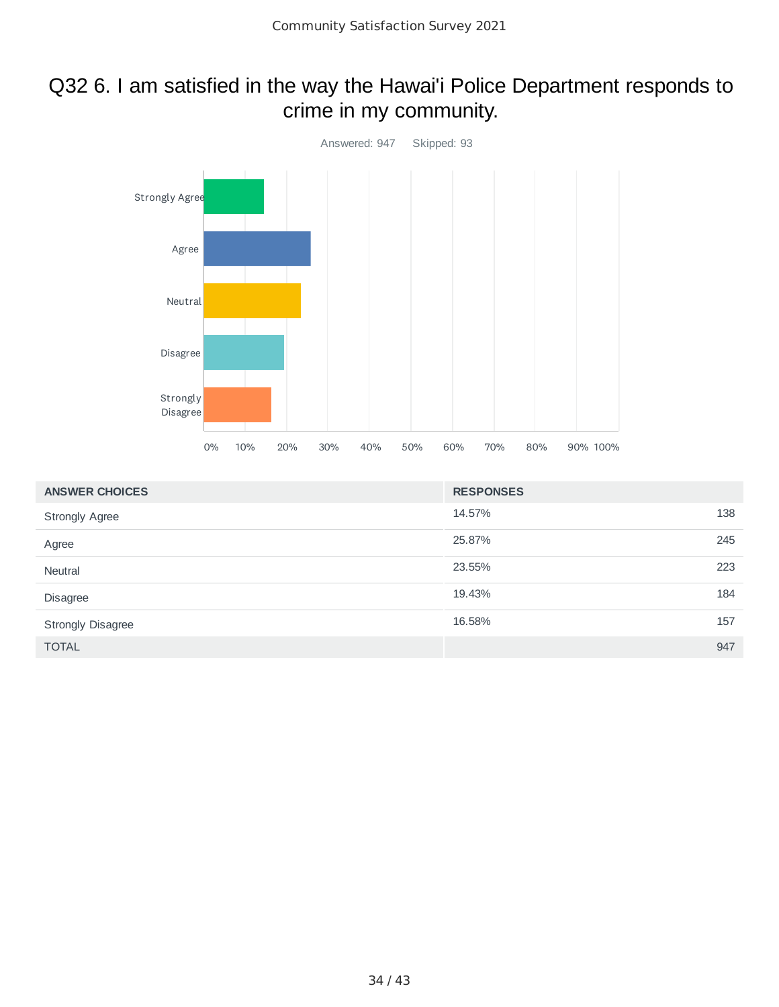#### Q32 6. I am satisfied in the way the Hawai'i Police Department responds to crime in my community.



| <b>ANSWER CHOICES</b> | <b>RESPONSES</b> |     |
|-----------------------|------------------|-----|
| <b>Strongly Agree</b> | 14.57%           | 138 |
| Agree                 | 25.87%           | 245 |
| Neutral               | 23.55%           | 223 |
| Disagree              | 19.43%           | 184 |
| Strongly Disagree     | 16.58%           | 157 |
| <b>TOTAL</b>          |                  | 947 |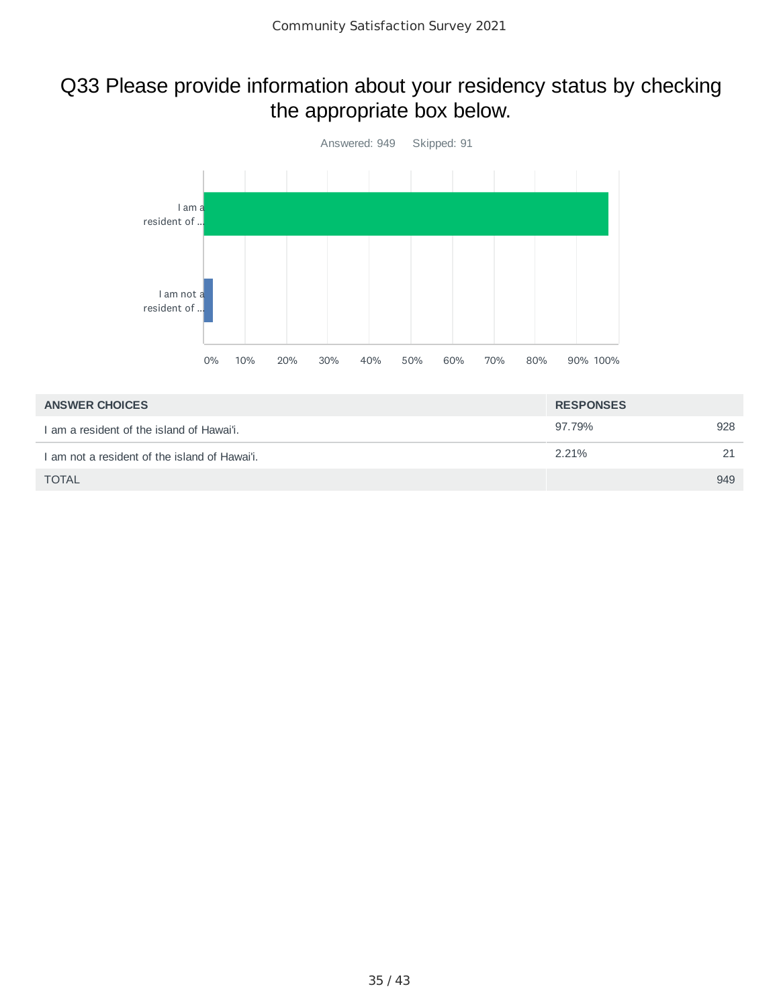#### Q33 Please provide information about your residency status by checking the appropriate box below.



| <b>ANSWER CHOICES</b>                         | <b>RESPONSES</b> |     |
|-----------------------------------------------|------------------|-----|
| I am a resident of the island of Hawai'i.     | 97.79%           | 928 |
| I am not a resident of the island of Hawai'i. | 2.21%            | 21  |
| <b>TOTAL</b>                                  |                  | 949 |
|                                               |                  |     |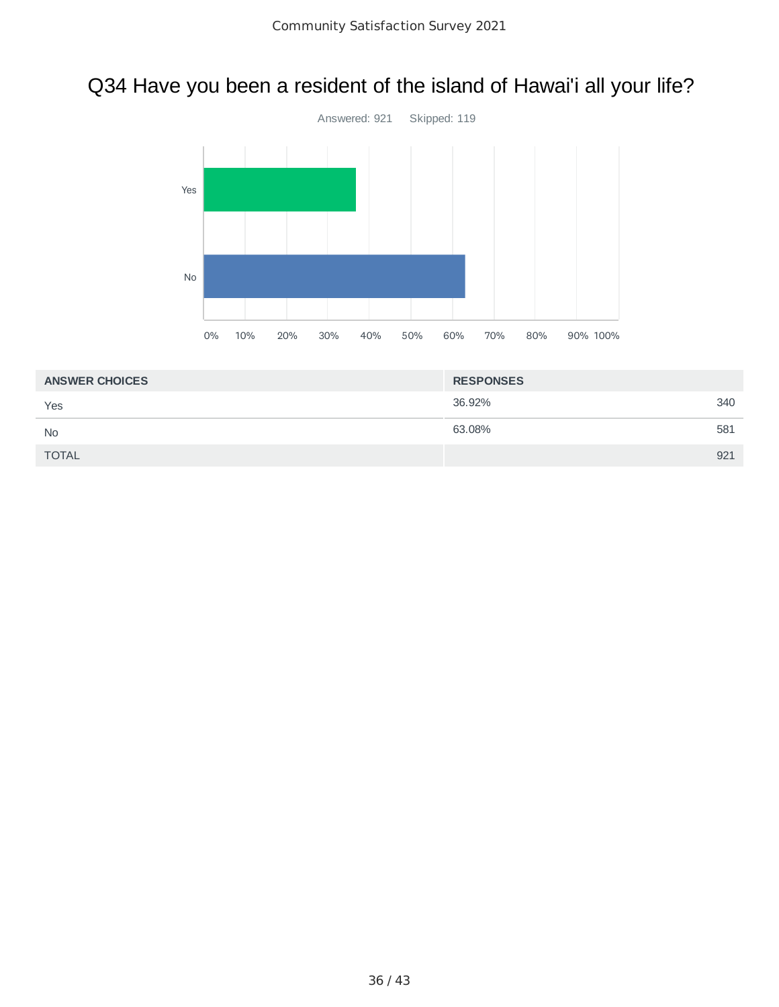## Q34 Have you been a resident of the island of Hawai'i all your life?



| <b>ANSWER CHOICES</b> | <b>RESPONSES</b> |     |
|-----------------------|------------------|-----|
| Yes                   | 36.92%           | 340 |
| <b>No</b>             | 63.08%           | 581 |
| <b>TOTAL</b>          |                  | 921 |
|                       |                  |     |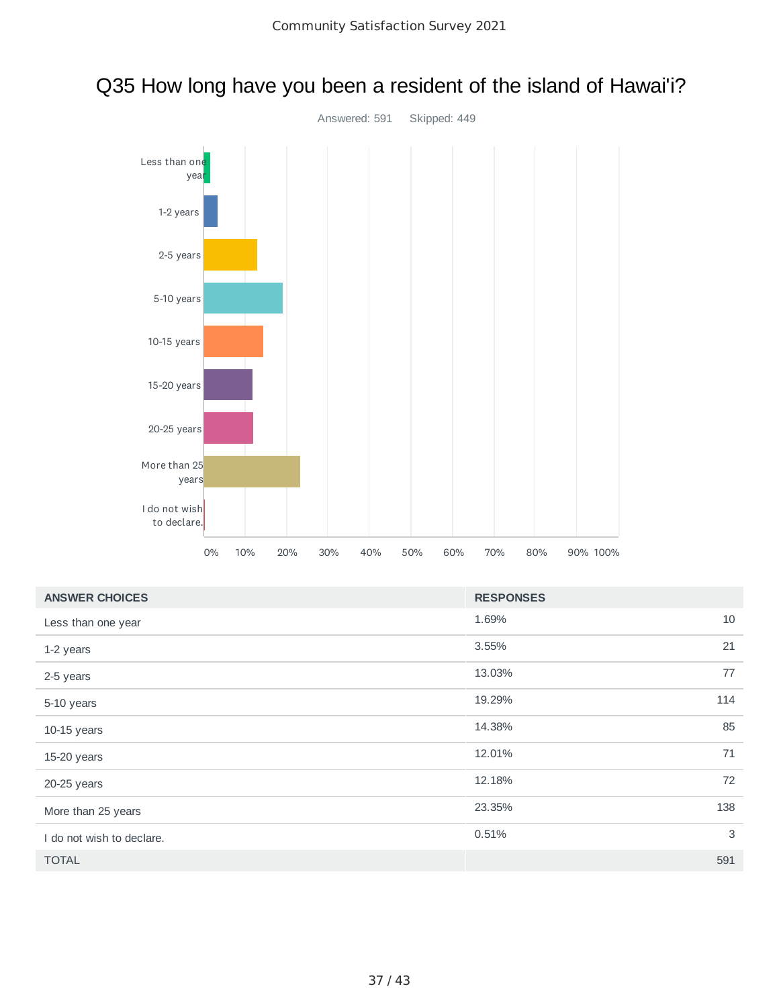

#### Q35 How long have you been a resident of the island of Hawai'i?

| <b>ANSWER CHOICES</b>     | <b>RESPONSES</b> |    |
|---------------------------|------------------|----|
| Less than one year        | 1.69%            | 10 |
| 1-2 years                 | 21<br>3.55%      |    |
| 2-5 years                 | 77<br>13.03%     |    |
| 5-10 years                | 19.29%<br>114    |    |
| $10-15$ years             | 85<br>14.38%     |    |
| 15-20 years               | 71<br>12.01%     |    |
| 20-25 years               | 12.18%           | 72 |
| More than 25 years        | 23.35%<br>138    |    |
| I do not wish to declare. | 0.51%            | 3  |
| <b>TOTAL</b>              | 591              |    |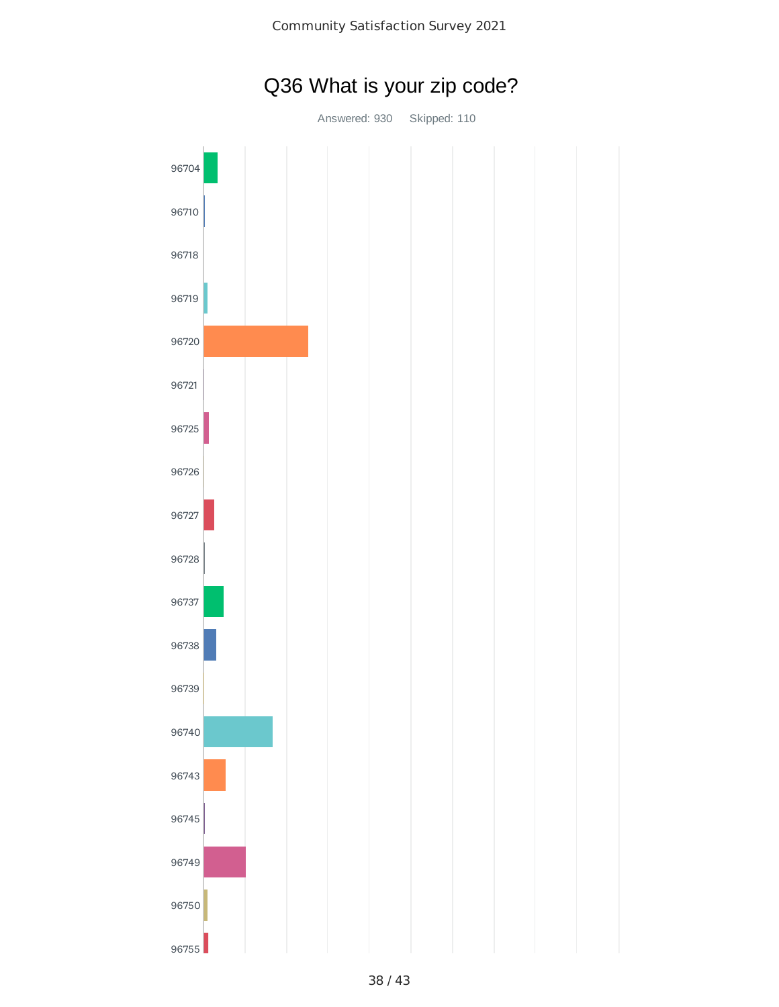

## Q36 What is your zip code?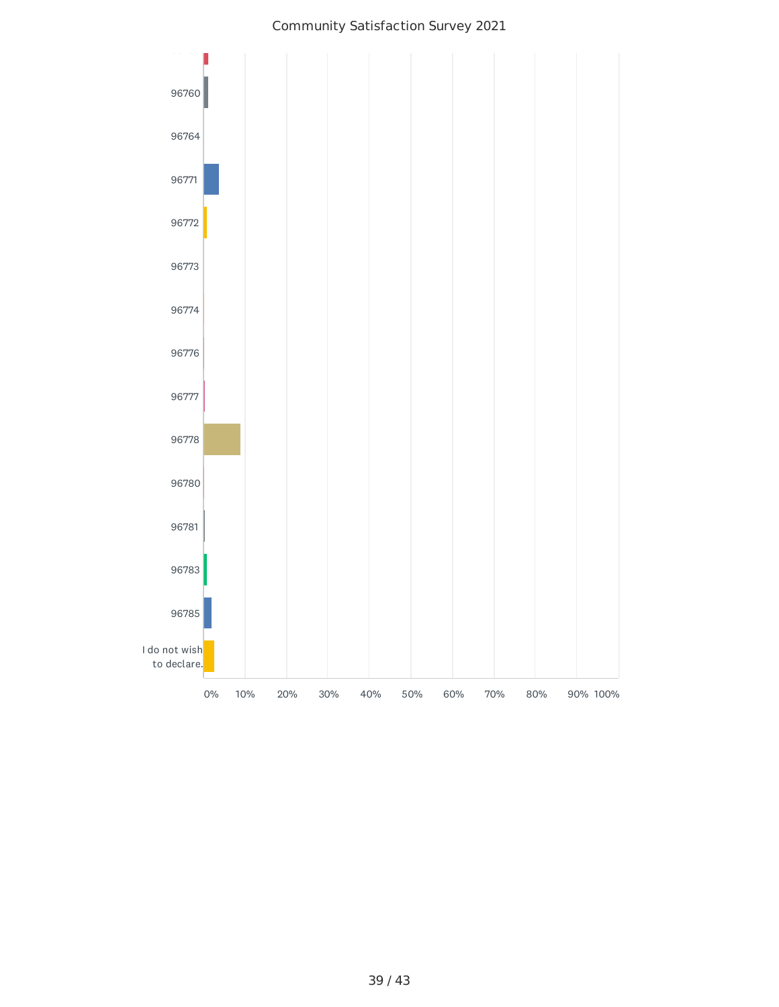#### Community Satisfaction Survey 2021

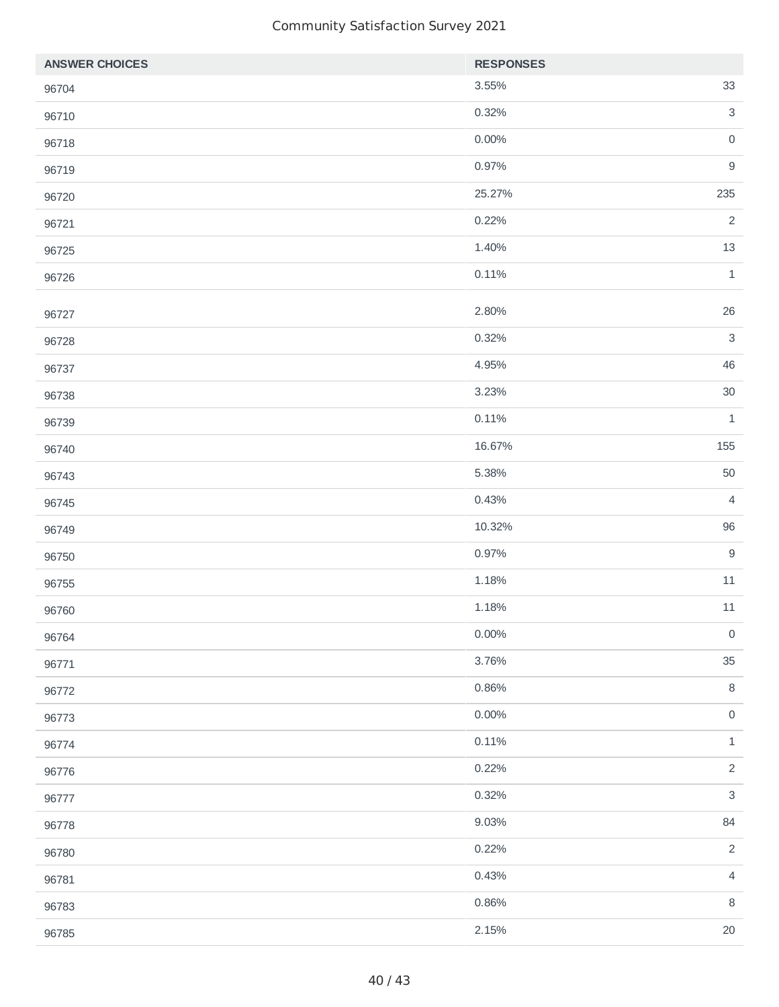| <b>ANSWER CHOICES</b> | <b>RESPONSES</b> |                           |
|-----------------------|------------------|---------------------------|
| 96704                 | 3.55%            | 33                        |
| 96710                 | 0.32%            | $\mathsf 3$               |
| 96718                 | $0.00\%$         | $\mathsf{O}\xspace$       |
| 96719                 | 0.97%            | $\mathsf 9$               |
| 96720                 | 25.27%           | 235                       |
| 96721                 | 0.22%            | $\overline{2}$            |
| 96725                 | 1.40%            | $13\,$                    |
| 96726                 | 0.11%            | $\,1\,$                   |
| 96727                 | 2.80%            | 26                        |
| 96728                 | 0.32%            | $\mathsf 3$               |
| 96737                 | 4.95%            | 46                        |
| 96738                 | 3.23%            | $30\,$                    |
| 96739                 | 0.11%            | $\mathbf 1$               |
| 96740                 | 16.67%           | 155                       |
| 96743                 | 5.38%            | 50                        |
| 96745                 | 0.43%            | $\sqrt{4}$                |
| 96749                 | 10.32%           | 96                        |
| 96750                 | 0.97%            | $\boldsymbol{9}$          |
| 96755                 | 1.18%            | $11\,$                    |
| 96760                 | 1.18%            | $11\,$                    |
| 96764                 | $0.00\%$         | $\mathsf{O}\xspace$       |
| 96771                 | 3.76%            | 35                        |
| 96772                 | 0.86%            | $\, 8$                    |
| 96773                 | $0.00\%$         | $\mathsf{O}$              |
| 96774                 | 0.11%            | $\mathbf 1$               |
| 96776                 | 0.22%            | $\overline{c}$            |
| 96777                 | 0.32%            | $\ensuremath{\mathsf{3}}$ |
| 96778                 | 9.03%            | 84                        |
| 96780                 | 0.22%            | $\overline{c}$            |
| 96781                 | 0.43%            | $\sqrt{4}$                |
| 96783                 | 0.86%            | $\, 8$                    |
| 96785                 | 2.15%            | $20\,$                    |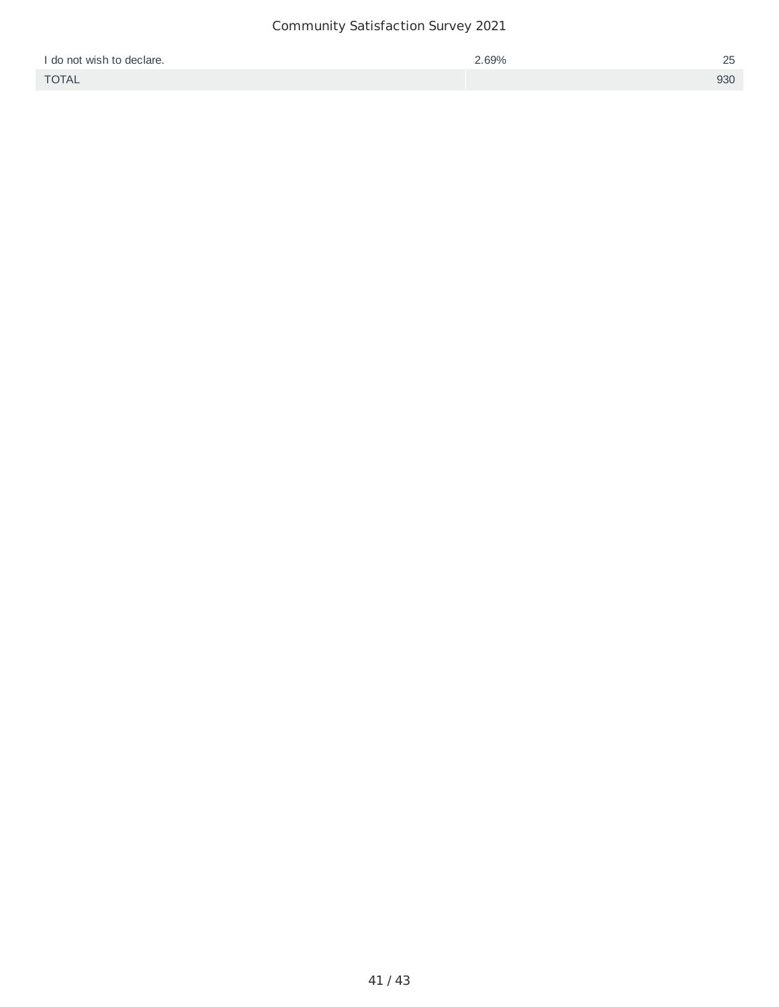| I do not wish to declare. | 2.69% | 25  |
|---------------------------|-------|-----|
| <b>TOTAL</b>              |       | 930 |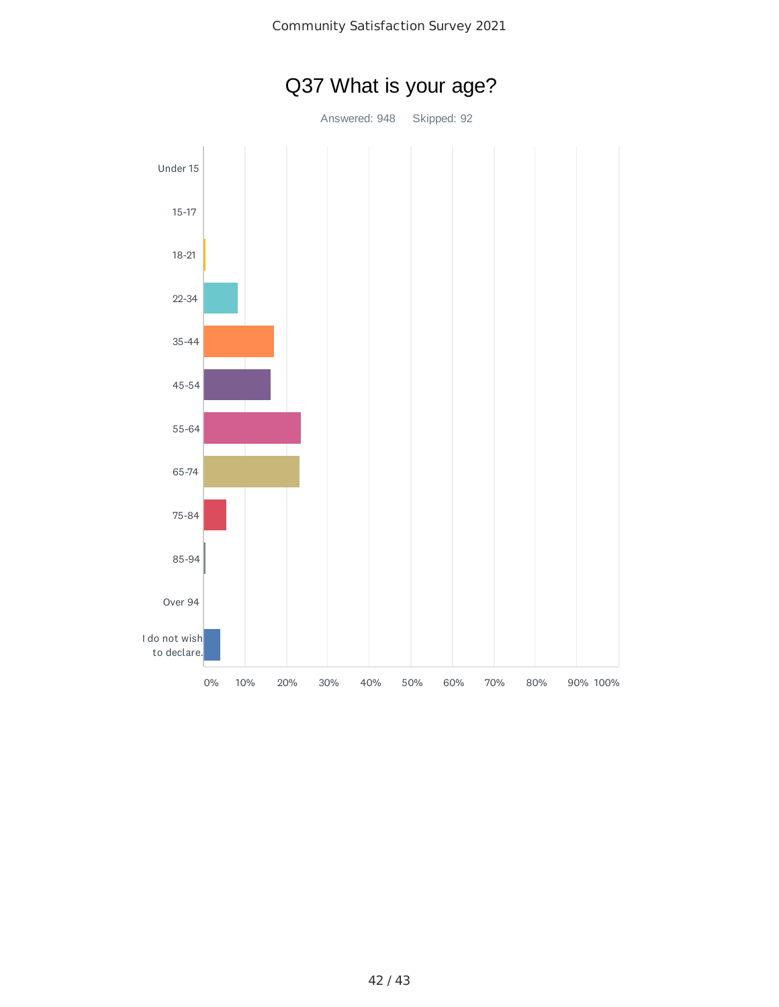